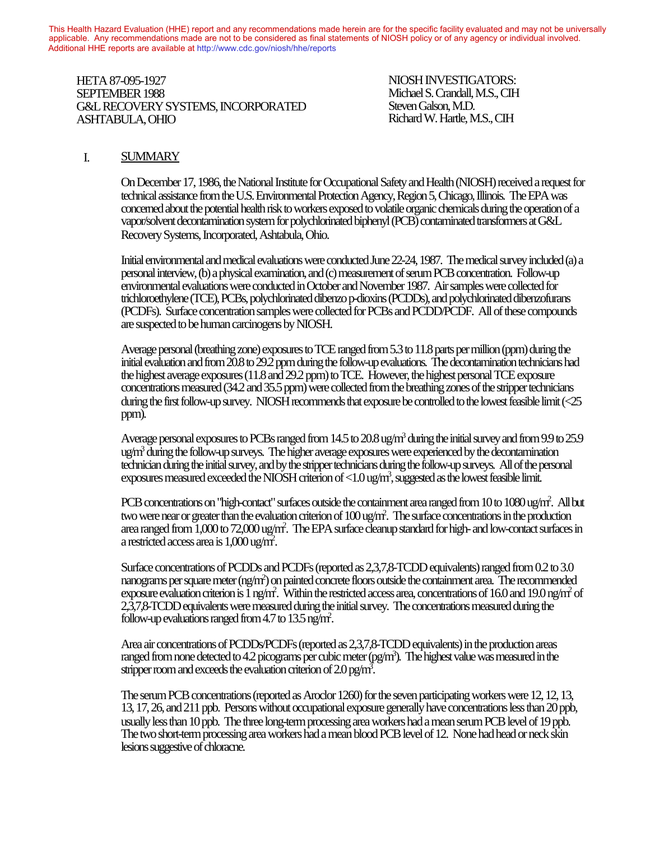This Health Hazard Evaluation (HHE) report and any recommendations made herein are for the specific facility evaluated and may not be universally applicable. Any recommendations made are not to be considered as final statements of NIOSH policy or of any agency or individual involved. Additional HHE reports are available at http://www.cdc.gov/niosh/hhe/reports Additional HHE reports are available at [http://www.cdc.gov/niosh/hhe/reports](http://www.cdc.gov/niosh/hhe)

HETA 87-095-1927 NIOSH INVESTIGATORS: SEPTEMBER 1988 Michael S. Crandall, M.S., CIH SET TEMBER 1966<br>G&L RECOVERY SYSTEMS, INCORPORATED Steven Galson, M.D. ASHTABULA, OHIO Richard W. Hartle, M.S., CIH  $\frac{1}{2}$ 

### I. SUMMARY

On December 17, 1986, the National Institute for Occupational Safety and Health (NIOSH) received a request for technical assistance from the U.S. Environmental Protection Agency, Region 5, Chicago, Illinois. The EPA was concerned about the potential health risk to workers exposed to volatile organic chemicals during the operation of a vapor/solvent decontamination system for polychlorinated biphenyl (PCB) contaminated transformers at G&L Recovery Systems, Incorporated, Ashtabula, Ohio.

Initial environmental and medical evaluations were conducted June 22-24, 1987. The medical survey included (a) a personal interview, (b) a physical examination, and (c) measurement of serum PCB concentration. Follow-up environmental evaluations were conducted in October and November 1987. Air samples were collected for trichloroethylene (TCE), PCBs, polychlorinated dibenzo p-dioxins (PCDDs), and polychlorinated dibenzofurans (PCDFs). Surface concentration samples were collected for PCBs and PCDD/PCDF. All of these compounds are suspected to be human carcinogens by NIOSH.

Average personal (breathing zone) exposures to TCE ranged from 5.3 to 11.8 parts per million (ppm) during the initial evaluation and from 20.8 to 29.2 ppm during the follow-up evaluations. The decontamination technicians had the highest average exposures (11.8 and 29.2 ppm) to TCE. However, the highest personal TCE exposure concentrations measured (34.2 and 35.5 ppm) were collected from the breathing zones of the stripper technicians during the first follow-up survey. NIOSH recommends that exposure be controlled to the lowest feasible limit (<25 ppm).

Average personal exposures to PCBs ranged from  $14.5$  to  $20.8$  ug/m<sup>3</sup> during the initial survey and from  $9.9$  to  $25.9$ ug/m<sup>3</sup> during the follow-up surveys. The higher average exposures were experienced by the decontamination technician during the initial survey, and by the stripper technicians during the follow-up surveys. All of the personal exposures measured exceeded the NIOSH criterion of <1.0 ug/m<sup>3</sup>, suggested as the lowest feasible limit.

PCB concentrations on "high-contact" surfaces outside the containment area ranged from 10 to 1080 ug/m<sup>2</sup>. All but two were near or greater than the evaluation criterion of 100 ug/m<sup>2</sup>. The surface concentrations in the production area ranged from 1,000 to 72,000 ug/m2 . The EPA surface cleanup standard for high- and low-contact surfaces in a restricted access area is 1,000 ug/m2 .

Surface concentrations of PCDDs and PCDFs (reported as 2,3,7,8-TCDD equivalents) ranged from 0.2 to 3.0 nanograms per square meter (ng/m<sup>2</sup>) on painted concrete floors outside the containment area. The recommended exposure evaluation criterion is  $\bar{1}$  ng/m<sup>2</sup>. Within the restricted access area, concentrations of 16.0 and 19.0 ng/m<sup>2</sup> of 2,3,7,8-TCDD equivalents were measured during the initial survey. The concentrations measured during the follow-up evaluations ranged from 4.7 to 13.5 ng/m<sup>2</sup>.

Area air concentrations of PCDDs/PCDFs (reported as 2,3,7,8-TCDD equivalents) in the production areas ranged from none detected to 4.2 picograms per cubic meter (pg/m<sup>3</sup>). The highest value was measured in the stripper room and exceeds the evaluation criterion of  $2.0$  pg/m<sup>3</sup>.

The serum PCB concentrations (reported as Aroclor 1260) for the seven participating workers were 12, 12, 13, 13, 17, 26, and 211 ppb. Persons without occupational exposure generally have concentrations less than 20 ppb, usually less than 10 ppb. The three long-term processing area workers had a mean serum PCB level of 19 ppb. The two short-term processing area workers had a mean blood PCB level of 12. None had head or neck skin lesions suggestive of chloracne.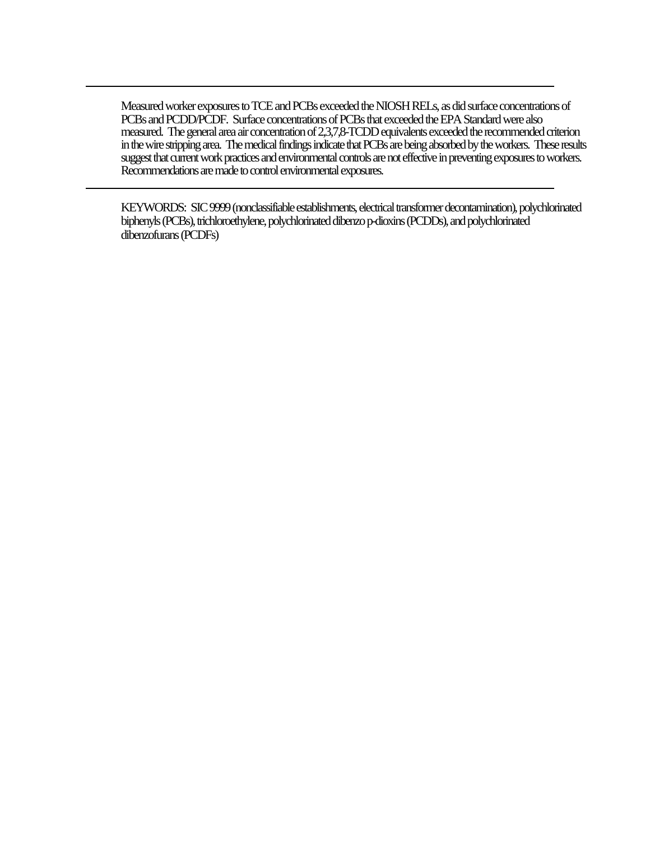Measured worker exposures to TCE and PCBs exceeded the NIOSH RELs, as did surface concentrations of PCBs and PCDD/PCDF. Surface concentrations of PCBs that exceeded the EPA Standard were also measured. The general area air concentration of 2,3,7,8-TCDD equivalents exceeded the recommended criterion in the wire stripping area. The medical findings indicate that PCBs are being absorbed by the workers. These results suggest that current work practices and environmental controls are not effective in preventing exposures to workers. Recommendations are made to control environmental exposures.

KEYWORDS: SIC 9999 (nonclassifiable establishments, electrical transformer decontamination), polychlorinated biphenyls (PCBs), trichloroethylene, polychlorinated dibenzo p-dioxins (PCDDs), and polychlorinated dibenzofurans (PCDFs)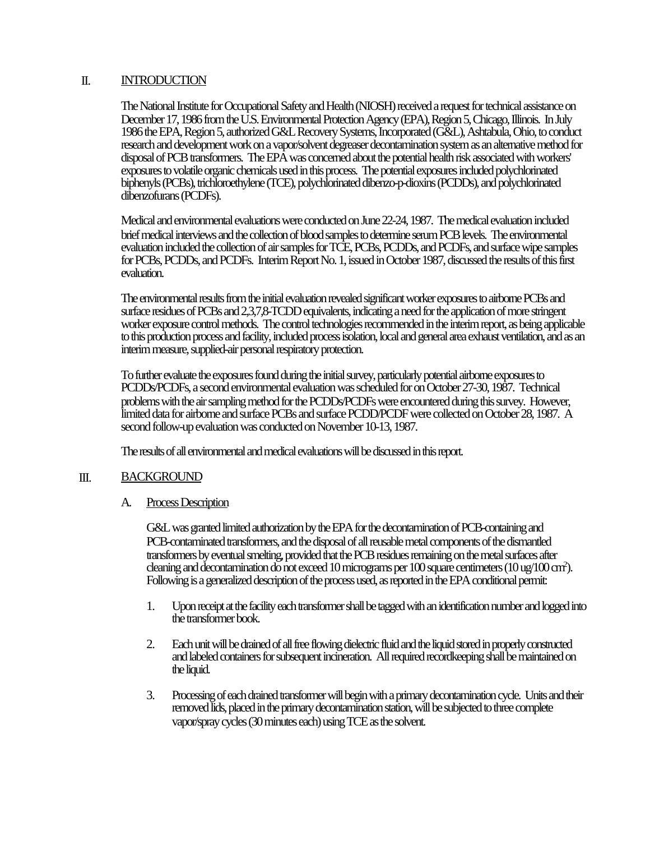### II. INTRODUCTION

The National Institute for Occupational Safety and Health (NIOSH) received a request for technical assistance on December 17, 1986 from the U.S. Environmental Protection Agency (EPA), Region 5, Chicago, Illinois. In July 1986 the EPA, Region 5, authorized G&L Recovery Systems, Incorporated (G&L), Ashtabula, Ohio, to conduct research and development work on a vapor/solvent degreaser decontamination system as an alternative method for disposal of PCB transformers. The EPA was concerned about the potential health risk associated with workers' exposures to volatile organic chemicals used in this process. The potential exposures included polychlorinated biphenyls (PCBs), trichloroethylene (TCE), polychlorinated dibenzo-p-dioxins (PCDDs), and polychlorinated dibenzofurans (PCDFs).

Medical and environmental evaluations were conducted on June 22-24, 1987. The medical evaluation included brief medical interviews and the collection of blood samples to determine serum PCB levels. The environmental evaluation included the collection of air samples for TCE, PCBs, PCDDs, and PCDFs, and surface wipe samples for PCBs, PCDDs, and PCDFs. Interim Report No. 1, issued in October 1987, discussed the results of this first evaluation.

The environmental results from the initial evaluation revealed significant worker exposures to airborne PCBs and surface residues of PCBs and 2,3,7,8-TCDD equivalents, indicating a need for the application of more stringent worker exposure control methods. The control technologies recommended in the interim report, as being applicable to this production process and facility, included process isolation, local and general area exhaust ventilation, and as an interim measure, supplied-air personal respiratory protection.

To further evaluate the exposures found during the initial survey, particularly potential airborne exposures to PCDDs/PCDFs, a second environmental evaluation was scheduled for on October 27-30, 1987. Technical problems with the air sampling method for the PCDDs/PCDFs were encountered during this survey. However, limited data for airborne and surface PCBs and surface PCDD/PCDF were collected on October 28, 1987. A second follow-up evaluation was conducted on November 10-13, 1987.

The results of all environmental and medical evaluations will be discussed in this report.

### III. BACKGROUND

A. Process Description

G&L was granted limited authorization by the EPA for the decontamination of PCB-containing and PCB-contaminated transformers, and the disposal of all reusable metal components of the dismantled transformers by eventual smelting, provided that the PCB residues remaining on the metal surfaces after cleaning and decontamination do not exceed 10 micrograms per 100 square centimeters (10 ug/100 cm<sup>2</sup> ). Following is a generalized description of the process used, as reported in the EPA conditional permit:

- 1. Upon receipt at the facility each transformer shall be tagged with an identification number and logged into the transformer book.
- 2. Each unit will be drained of all free flowing dielectric fluid and the liquid stored in properly constructed and labeled containers for subsequent incineration. All required recordkeeping shall be maintained on the liquid.
- 3. Processing of each drained transformer will begin with a primary decontamination cycle. Units and their removed lids, placed in the primary decontamination station, will be subjected to three complete vapor/spray cycles (30 minutes each) using TCE as the solvent.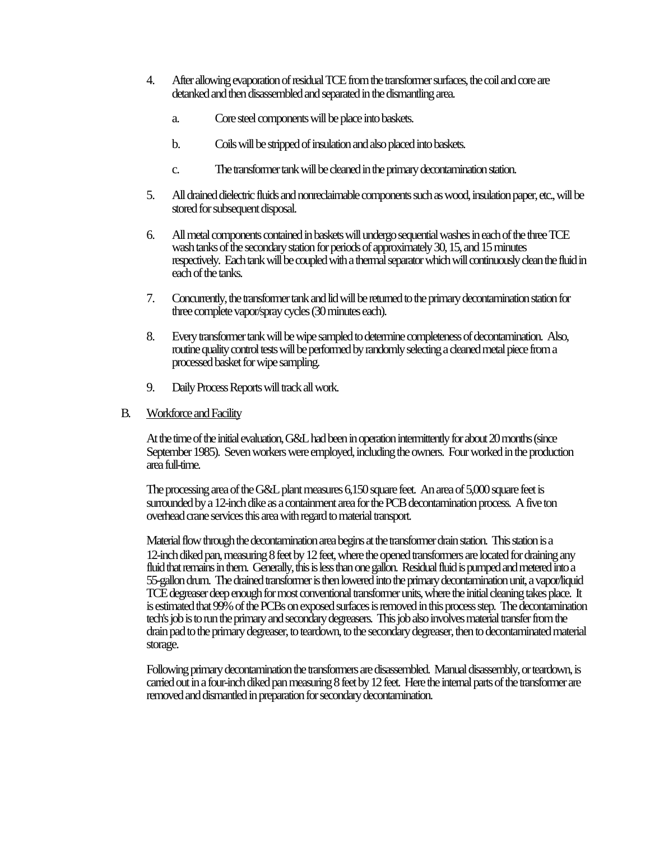- 4. After allowing evaporation of residual TCE from the transformer surfaces, the coil and core are detanked and then disassembled and separated in the dismantling area.
	- a. Core steel components will be place into baskets.
	- b. Coils will be stripped of insulation and also placed into baskets.
	- c. The transformer tank will be cleaned in the primary decontamination station.
- 5. All drained dielectric fluids and nonreclaimable components such as wood, insulation paper, etc., will be stored for subsequent disposal.
- 6. All metal components contained in baskets will undergo sequential washes in each of the three TCE wash tanks of the secondary station for periods of approximately 30, 15, and 15 minutes respectively. Each tank will be coupled with a thermal separator which will continuously clean the fluid in each of the tanks.
- 7. Concurrently, the transformer tank and lid will be returned to the primary decontamination station for three complete vapor/spray cycles (30 minutes each).
- 8. Every transformer tank will be wipe sampled to determine completeness of decontamination. Also, routine quality control tests will be performed by randomly selecting a cleaned metal piece from a processed basket for wipe sampling.
- 9. Daily Process Reports will track all work.

#### B. Workforce and Facility

At the time of the initial evaluation, G&L had been in operation intermittently for about 20 months (since September 1985). Seven workers were employed, including the owners. Four worked in the production area full-time.

The processing area of the G&L plant measures 6,150 square feet. An area of 5,000 square feet is surrounded by a 12-inch dike as a containment area for the PCB decontamination process. A five ton overhead crane services this area with regard to material transport.

Material flow through the decontamination area begins at the transformer drain station. This station is a 12-inch diked pan, measuring 8 feet by 12 feet, where the opened transformers are located for draining any fluid that remains in them. Generally, this is less than one gallon. Residual fluid is pumped and metered into a 55-gallon drum. The drained transformer is then lowered into the primary decontamination unit, a vapor/liquid TCE degreaser deep enough for most conventional transformer units, where the initial cleaning takes place. It is estimated that 99% of the PCBs on exposed surfaces is removed in this process step. The decontamination tech's job is to run the primary and secondary degreasers. This job also involves material transfer from the drain pad to the primary degreaser, to teardown, to the secondary degreaser, then to decontaminated material storage.

Following primary decontamination the transformers are disassembled. Manual disassembly, or teardown, is carried out in a four-inch diked pan measuring 8 feet by 12 feet. Here the internal parts of the transformer are removed and dismantled in preparation for secondary decontamination.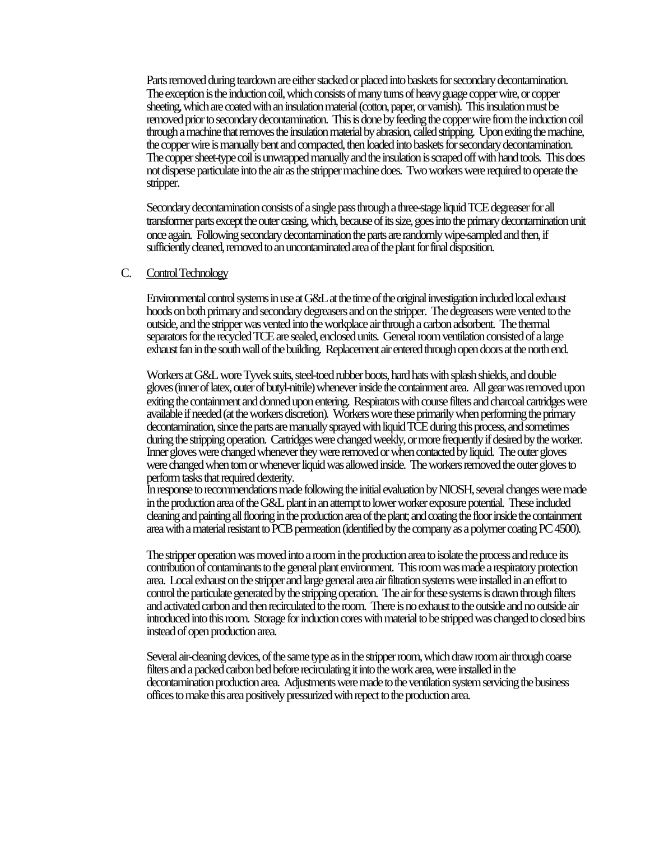Parts removed during teardown are either stacked or placed into baskets for secondary decontamination. The exception is the induction coil, which consists of many turns of heavy guage copper wire, or copper sheeting, which are coated with an insulation material (cotton, paper, or varnish). This insulation must be removed prior to secondary decontamination. This is done by feeding the copper wire from the induction coil through a machine that removes the insulation material by abrasion, called stripping. Upon exiting the machine, the copper wire is manually bent and compacted, then loaded into baskets for secondary decontamination. The copper sheet-type coil is unwrapped manually and the insulation is scraped off with hand tools. This does not disperse particulate into the air as the stripper machine does. Two workers were required to operate the stripper.

Secondary decontamination consists of a single pass through a three-stage liquid TCE degreaser for all transformer parts except the outer casing, which, because of its size, goes into the primary decontamination unit once again. Following secondary decontamination the parts are randomly wipe-sampled and then, if sufficiently cleaned, removed to an uncontaminated area of the plant for final disposition.

#### C. Control Technology

Environmental control systems in use at G&L at the time of the original investigation included local exhaust hoods on both primary and secondary degreasers and on the stripper. The degreasers were vented to the outside, and the stripper was vented into the workplace air through a carbon adsorbent. The thermal separators for the recycled TCE are sealed, enclosed units. General room ventilation consisted of a large exhaust fan in the south wall of the building. Replacement air entered through open doors at the north end.

Workers at G&L wore Tyvek suits, steel-toed rubber boots, hard hats with splash shields, and double gloves (inner of latex, outer of butyl-nitrile) whenever inside the containment area. All gear was removed upon exiting the containment and donned upon entering. Respirators with course filters and charcoal cartridges were available if needed (at the workers discretion). Workers wore these primarily when performing the primary decontamination, since the parts are manually sprayed with liquid TCE during this process, and sometimes during the stripping operation. Cartridges were changed weekly, or more frequently if desired by the worker. Inner gloves were changed whenever they were removed or when contacted by liquid. The outer gloves were changed when torn or whenever liquid was allowed inside. The workers removed the outer gloves to perform tasks that required dexterity.

In response to recommendations made following the initial evaluation by NIOSH, several changes were made in the production area of the G&L plant in an attempt to lower worker exposure potential. These included cleaning and painting all flooring in the production area of the plant; and coating the floor inside the containment area with a material resistant to PCB permeation (identified by the company as a polymer coating PC 4500).

The stripper operation was moved into a room in the production area to isolate the process and reduce its contribution of contaminants to the general plant environment. This room was made a respiratory protection area. Local exhaust on the stripper and large general area air filtration systems were installed in an effort to control the particulate generated by the stripping operation. The air for these systems is drawn through filters and activated carbon and then recirculated to the room. There is no exhaust to the outside and no outside air introduced into this room. Storage for induction cores with material to be stripped was changed to closed bins instead of open production area.

Several air-cleaning devices, of the same type as in the stripper room, which draw room air through coarse filters and a packed carbon bed before recirculating it into the work area, were installed in the decontamination production area. Adjustments were made to the ventilation system servicing the business offices to make this area positively pressurized with repect to the production area.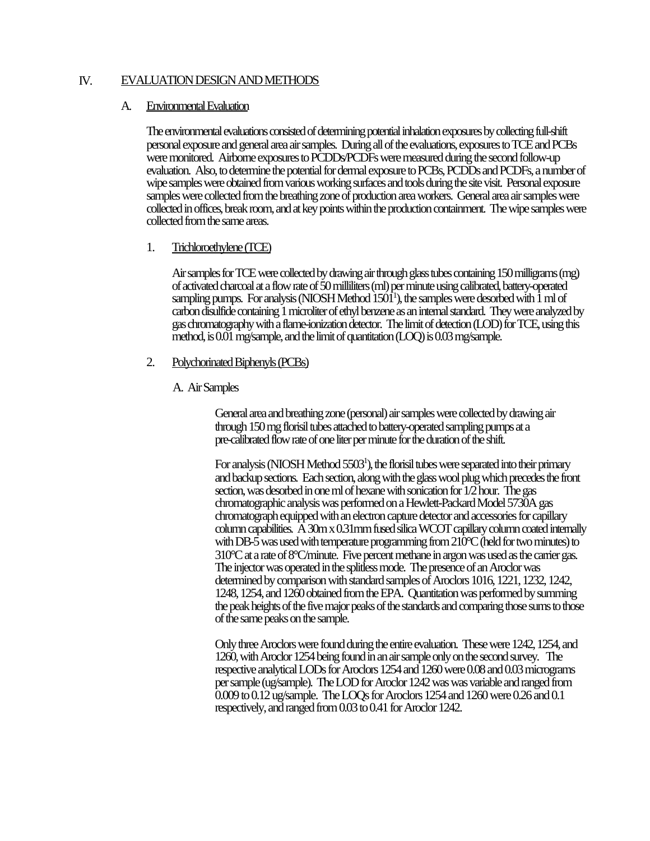### IV. EVALUATION DESIGN AND METHODS

### A. Environmental Evaluation

The environmental evaluations consisted of determining potential inhalation exposures by collecting full-shift personal exposure and general area air samples. During all of the evaluations, exposures to TCE and PCBs were monitored. Airborne exposures to PCDDs/PCDFs were measured during the second follow-up evaluation. Also, to determine the potential for dermal exposure to PCBs, PCDDs and PCDFs, a number of wipe samples were obtained from various working surfaces and tools during the site visit. Personal exposure samples were collected from the breathing zone of production area workers. General area air samples were collected in offices, break room, and at key points within the production containment. The wipe samples were collected from the same areas.

### 1. Trichloroethylene (TCE)

Air samples for TCE were collected by drawing air through glass tubes containing 150 milligrams (mg) of activated charcoal at a flow rate of 50 milliliters (ml) per minute using calibrated, battery-operated sampling pumps. For analysis (NIOSH Method  $1501^1$ ), the samples were desorbed with  $1$  ml of carbon disulfide containing 1 microliter of ethyl benzene as an internal standard. They were analyzed by gas chromatography with a flame-ionization detector. The limit of detection (LOD) for TCE, using this method, is 0.01 mg/sample, and the limit of quantitation (LOQ) is 0.03 mg/sample.

### 2. Polychorinated Biphenyls (PCBs)

### A. Air Samples

General area and breathing zone (personal) air samples were collected by drawing air through 150 mg florisil tubes attached to battery-operated sampling pumps at a pre-calibrated flow rate of one liter per minute for the duration of the shift.

For analysis (NIOSH Method 5503<sup>1</sup>), the florisil tubes were separated into their primary and backup sections. Each section, along with the glass wool plug which precedes the front section, was desorbed in one ml of hexane with sonication for 1/2 hour. The gas chromatographic analysis was performed on a Hewlett-Packard Model 5730A gas chromatograph equipped with an electron capture detector and accessories for capillary column capabilities. A 30m x 0.31mm fused silica WCOT capillary column coated internally with DB-5 was used with temperature programming from 210°C (held for two minutes) to 310°C at a rate of 8°C/minute. Five percent methane in argon was used as the carrier gas. The injector was operated in the splitless mode. The presence of an Aroclor was determined by comparison with standard samples of Aroclors 1016, 1221, 1232, 1242, 1248, 1254, and 1260 obtained from the EPA. Quantitation was performed by summing the peak heights of the five major peaks of the standards and comparing those sums to those of the same peaks on the sample.

Only three Aroclors were found during the entire evaluation. These were 1242, 1254, and 1260, with Aroclor 1254 being found in an air sample only on the second survey. The respective analytical LODs for Aroclors 1254 and 1260 were 0.08 and 0.03 micrograms per sample (ug/sample). The LOD for Aroclor 1242 was was variable and ranged from 0.009 to 0.12 ug/sample. The LOQs for Aroclors 1254 and 1260 were 0.26 and 0.1 respectively, and ranged from 0.03 to 0.41 for Aroclor 1242.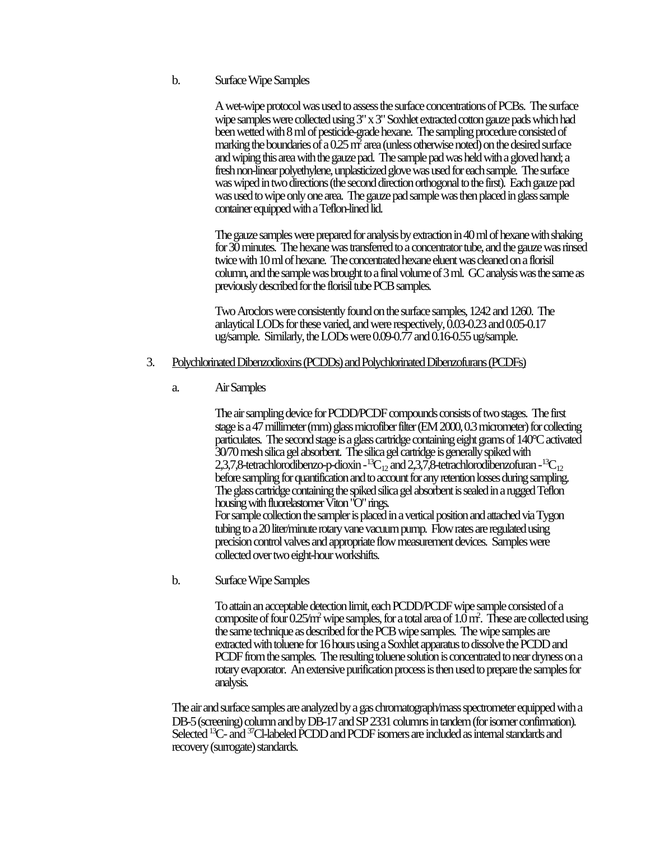A wet-wipe protocol was used to assess the surface concentrations of PCBs. The surface wipe samples were collected using 3" x 3" Soxhlet extracted cotton gauze pads which had been wetted with 8 ml of pesticide-grade hexane. The sampling procedure consisted of marking the boundaries of a 0.25  $\vec{m^2}$  area (unless otherwise noted) on the desired surface and wiping this area with the gauze pad. The sample pad was held with a gloved hand; a fresh non-linear polyethylene, unplasticized glove was used for each sample. The surface was wiped in two directions (the second direction orthogonal to the first). Each gauze pad was used to wipe only one area. The gauze pad sample was then placed in glass sample container equipped with a Teflon-lined lid.

The gauze samples were prepared for analysis by extraction in 40 ml of hexane with shaking for 30 minutes. The hexane was transferred to a concentrator tube, and the gauze was rinsed twice with 10 ml of hexane. The concentrated hexane eluent was cleaned on a florisil column, and the sample was brought to a final volume of 3 ml. GC analysis was the same as previously described for the florisil tube PCB samples.

Two Aroclors were consistently found on the surface samples, 1242 and 1260. The anlaytical LODs for these varied, and were respectively, 0.03-0.23 and 0.05-0.17 ug/sample. Similarly, the LODs were 0.09-0.77 and 0.16-0.55 ug/sample.

### 3. Polychlorinated Dibenzodioxins (PCDDs) and Polychlorinated Dibenzofurans (PCDFs)

### a. Air Samples

The air sampling device for PCDD/PCDF compounds consists of two stages. The first stage is a 47 millimeter (mm) glass microfiber filter (EM 2000, 0.3 micrometer) for collecting particulates. The second stage is a glass cartridge containing eight grams of 140°C activated 30/70 mesh silica gel absorbent. The silica gel cartridge is generally spiked with 2,3,7,8-tetrachlorodibenzo-p-dioxin -<sup>13</sup>C<sub>12</sub> and 2,3,7,8-tetrachlorodibenzofuran -<sup>13</sup>C<sub>12</sub> before sampling for quantification and to account for any retention losses during sampling. The glass cartridge containing the spiked silica gel absorbent is sealed in a rugged Teflon housing with fluorelastomer Viton "O" rings. For sample collection the sampler is placed in a vertical position and attached via Tygon

tubing to a 20 liter/minute rotary vane vacuum pump. Flow rates are regulated using precision control valves and appropriate flow measurement devices. Samples were collected over two eight-hour workshifts.

b. Surface Wipe Samples

To attain an acceptable detection limit, each PCDD/PCDF wipe sample consisted of a composite of four 0.25/m<sup>2</sup> wipe samples, for a total area of  $1.0\,\mathrm{m}^2$ . These are collected using the same technique as described for the PCB wipe samples. The wipe samples are extracted with toluene for 16 hours using a Soxhlet apparatus to dissolve the PCDD and PCDF from the samples. The resulting toluene solution is concentrated to near dryness on a rotary evaporator. An extensive purification process is then used to prepare the samples for analysis.

The air and surface samples are analyzed by a gas chromatograph/mass spectrometer equipped with a DB-5 (screening) column and by DB-17 and SP 2331 columns in tandem (for isomer confirmation). Selected <sup>13</sup>C- and <sup>37</sup>Cl-labeled PCDD and PCDF isomers are included as internal standards and recovery (surrogate) standards.

b. Surface Wipe Samples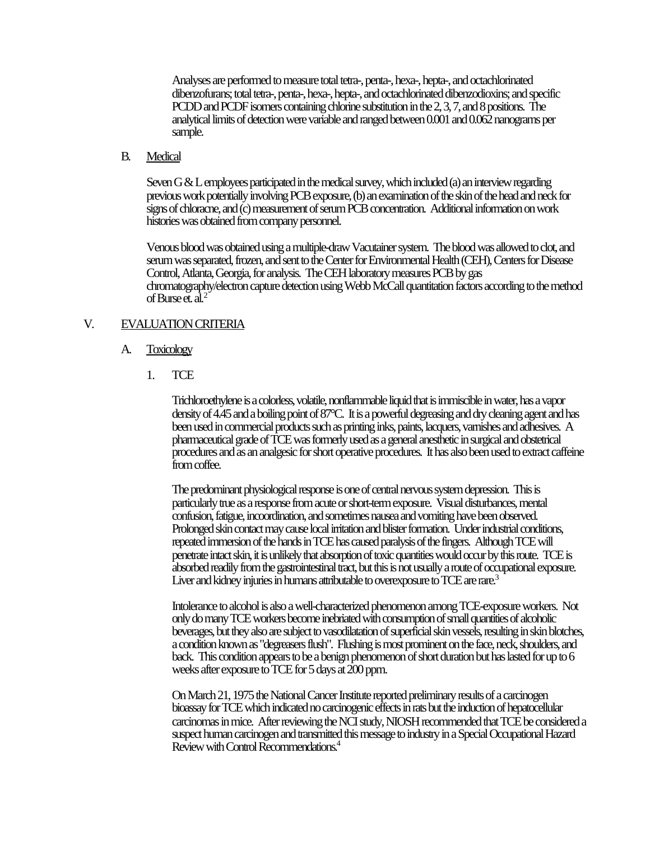Analyses are performed to measure total tetra-, penta-, hexa-, hepta-, and octachlorinated dibenzofurans; total tetra-, penta-, hexa-, hepta-, and octachlorinated dibenzodioxins; and specific PCDD and PCDF isomers containing chlorine substitution in the 2, 3, 7, and 8 positions. The analytical limits of detection were variable and ranged between 0.001 and 0.062 nanograms per sample.

### B. Medical

Seven G & L employees participated in the medical survey, which included (a) an interview regarding previous work potentially involving PCB exposure, (b) an examination of the skin of the head and neck for signs of chloracne, and (c) measurement of serum PCB concentration. Additional information on work histories was obtained from company personnel.

Venous blood was obtained using a multiple-draw Vacutainer system. The blood was allowed to clot, and serum was separated, frozen, and sent to the Center for Environmental Health (CEH), Centers for Disease Control, Atlanta, Georgia, for analysis. The CEH laboratory measures PCB by gas chromatography/electron capture detection using Webb McCall quantitation factors according to the method of Burse et.  $a\overline{l}$ .<sup>2</sup>

### V. EVALUATION CRITERIA

#### A. Toxicology

1. TCE

Trichloroethylene is a colorless, volatile, nonflammable liquid that is immiscible in water, has a vapor density of 4.45 and a boiling point of 87°C. It is a powerful degreasing and dry cleaning agent and has been used in commercial products such as printing inks, paints, lacquers, varnishes and adhesives. A pharmaceutical grade of TCE was formerly used as a general anesthetic in surgical and obstetrical procedures and as an analgesic for short operative procedures. It has also been used to extract caffeine from coffee.

The predominant physiological response is one of central nervous system depression. This is particularly true as a response from acute or short-term exposure. Visual disturbances, mental confusion, fatigue, incoordination, and sometimes nausea and vomiting have been observed. Prolonged skin contact may cause local irritation and blister formation. Under industrial conditions, repeated immersion of the hands in TCE has caused paralysis of the fingers. Although TCE will penetrate intact skin, it is unlikely that absorption of toxic quantities would occur by this route. TCE is absorbed readily from the gastrointestinal tract, but this is not usually a route of occupational exposure. Liver and kidney injuries in humans attributable to overexposure to TCE are rare.<sup>3</sup>

Intolerance to alcohol is also a well-characterized phenomenon among TCE-exposure workers. Not only do many TCE workers become inebriated with consumption of small quantities of alcoholic beverages, but they also are subject to vasodilatation of superficial skin vessels, resulting in skin blotches, a condition known as "degreasers flush". Flushing is most prominent on the face, neck, shoulders, and back. This condition appears to be a benign phenomenon of short duration but has lasted for up to 6 weeks after exposure to TCE for 5 days at 200 ppm.

On March 21, 1975 the National Cancer Institute reported preliminary results of a carcinogen bioassay for TCE which indicated no carcinogenic effects in rats but the induction of hepatocellular carcinomas in mice. After reviewing the NCI study, NIOSH recommended that TCE be considered a suspect human carcinogen and transmitted this message to industry in a Special Occupational Hazard Review with Control Recommendations.<sup>4</sup>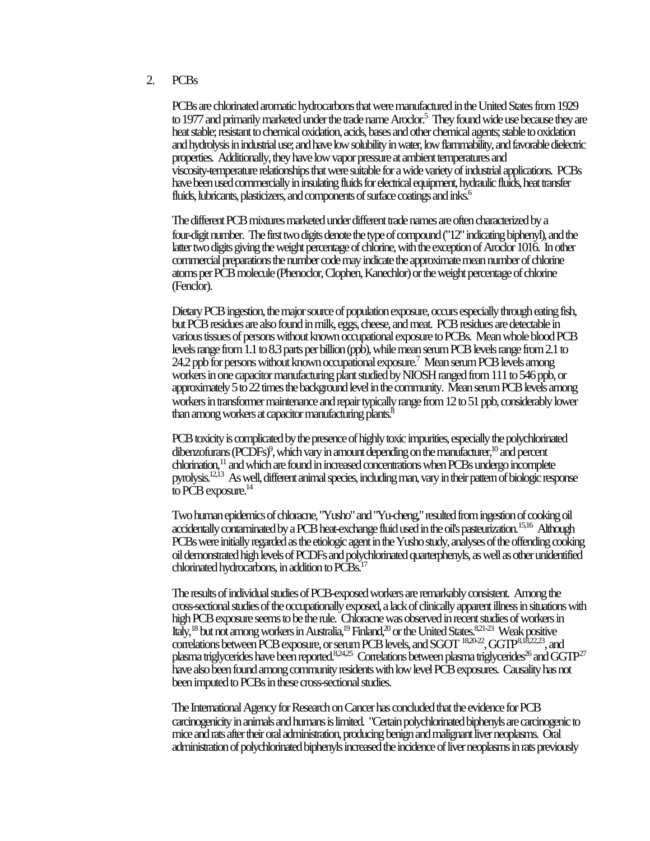#### 2. PCBs

PCBs are chlorinated aromatic hydrocarbons that were manufactured in the United States from 1929 to 1977 and primarily marketed under the trade name Aroclor.<sup>5</sup> They found wide use because they are heat stable; resistant to chemical oxidation, acids, bases and other chemical agents; stable to oxidation and hydrolysis in industrial use; and have low solubility in water, low flammability, and favorable dielectric properties. Additionally, they have low vapor pressure at ambient temperatures and viscosity-temperature relationships that were suitable for a wide variety of industrial applications. PCBs have been used commercially in insulating fluids for electrical equipment, hydraulic fluids, heat transfer fluids, lubricants, plasticizers, and components of surface coatings and inks.<sup>6</sup>

The different PCB mixtures marketed under different trade names are often characterized by a four-digit number. The first two digits denote the type of compound ("12" indicating biphenyl), and the latter two digits giving the weight percentage of chlorine, with the exception of Aroclor 1016. In other commercial preparations the number code may indicate the approximate mean number of chlorine atoms per PCB molecule (Phenoclor, Clophen, Kanechlor) or the weight percentage of chlorine (Fenclor).

Dietary PCB ingestion, the major source of population exposure, occurs especially through eating fish, but PCB residues are also found in milk, eggs, cheese, and meat. PCB residues are detectable in various tissues of persons without known occupational exposure to PCBs. Mean whole blood PCB levels range from 1.1 to 8.3 parts per billion (ppb), while mean serum PCB levels range from 2.1 to 24.2 ppb for persons without known occupational exposure.<sup>7</sup> Mean serum PCB levels among workers in one capacitor manufacturing plant studied by NIOSH ranged from 111 to 546 ppb, or approximately 5 to 22 times the background level in the community. Mean serum PCB levels among workers in transformer maintenance and repair typically range from 12 to 51 ppb, considerably lower than among workers at capacitor manufacturing plants.<sup>8</sup>

PCB toxicity is complicated by the presence of highly toxic impurities, especially the polychlorinated dibenzofurans (PCDFs)<sup>9</sup>, which vary in amount depending on the manufacturer,<sup>10</sup> and percent chlorination, $11$  and which are found in increased concentrations when PCBs undergo incomplete pyrolysis.12,13 As well, different animal species, including man, vary in their pattern of biologic response to PCB exposure. $^{14}$ 

Two human epidemics of chloracne, "Yusho" and "Yu-cheng," resulted from ingestion of cooking oil accidentally contaminated by a PCB heat-exchange fluid used in the oil's pasteurization.<sup>15,16</sup> Although PCBs were initially regarded as the etiologic agent in the Yusho study, analyses of the offending cooking oil demonstrated high levels of PCDFs and polychlorinated quarterphenyls, as well as other unidentified chlorinated hydrocarbons, in addition to PCBs.<sup>17</sup>

The results of individual studies of PCB-exposed workers are remarkably consistent. Among the cross-sectional studies of the occupationally exposed, a lack of clinically apparent illness in situations with high PCB exposure seems to be the rule. Chloracne was observed in recent studies of workers in Italy,<sup>18</sup> but not among workers in Australia,<sup>19</sup> Finland,<sup>20</sup> or the United States.<sup>8,21-23</sup> Weak positive correlations between PCB exposure, or serum PCB levels, and SGOT  $^{18,20,22}$ , GGTP $^{8,18,22,23}$ , and plasma triglycerides have been reported.  $824,25$  Correlations between plasma triglycerides<sup>26</sup> and GGTP<sup>27</sup> have also been found among community residents with low level PCB exposures. Causality has not been imputed to PCBs in these cross-sectional studies.

The International Agency for Research on Cancer has concluded that the evidence for PCB carcinogenicity in animals and humans is limited. "Certain polychlorinated biphenyls are carcinogenic to mice and rats after their oral administration, producing benign and malignant liver neoplasms. Oral administration of polychlorinated biphenyls increased the incidence of liver neoplasms in rats previously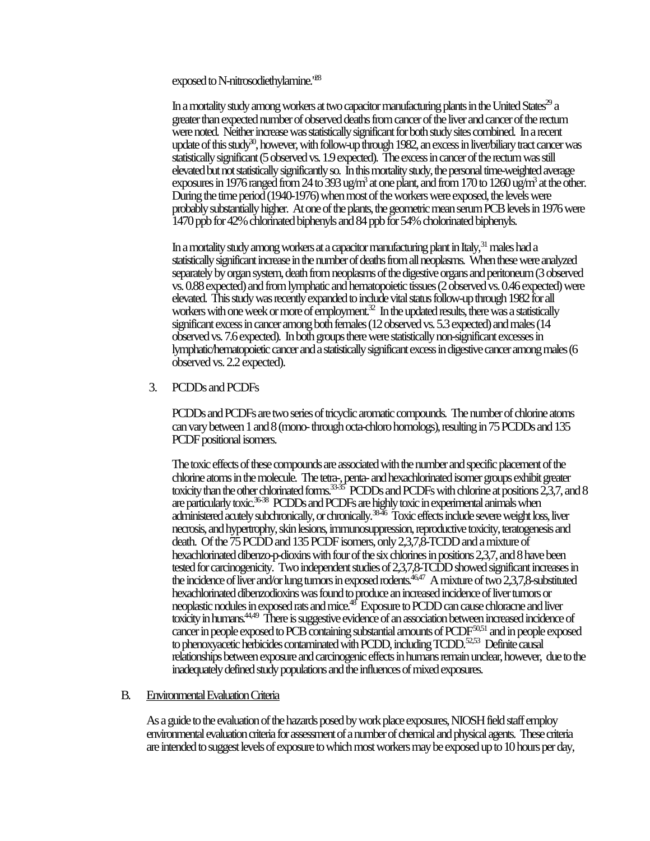exposed to N-nitrosodiethylamine.<sup>128</sup>

In a mortality study among workers at two capacitor manufacturing plants in the United States<sup>29</sup> a greater than expected number of observed deaths from cancer of the liver and cancer of the rectum were noted. Neither increase was statistically significant for both study sites combined. In a recent update of this study<sup>30</sup>, however, with follow-up through 1982, an excess in liver/biliary tract cancer was statistically significant (5 observed vs. 1.9 expected). The excess in cancer of the rectum was still elevated but not statistically significantly so. In this mortality study, the personal time-weighted average exposures in 1976 ranged from 24 to 393 ug/m<sup>3</sup> at one plant, and from 170 to 1260 ug/m<sup>3</sup> at the other. During the time period (1940-1976) when most of the workers were exposed, the levels were probably substantially higher. At one of the plants, the geometric mean serum PCB levels in 1976 were 1470 ppb for 42% chlorinated biphenyls and 84 ppb for 54% cholorinated biphenyls.

In a mortality study among workers at a capacitor manufacturing plant in Italy,<sup>31</sup> males had a statistically significant increase in the number of deaths from all neoplasms. When these were analyzed separately by organ system, death from neoplasms of the digestive organs and peritoneum (3 observed vs. 0.88 expected) and from lymphatic and hematopoietic tissues (2 observed vs. 0.46 expected) were elevated. This study was recently expanded to include vital status follow-up through 1982 for all workers with one week or more of employment.<sup>32</sup> In the updated results, there was a statistically significant excess in cancer among both females (12 observed vs. 5.3 expected) and males (14 observed vs. 7.6 expected). In both groups there were statistically non-significant excesses in lymphatic/hematopoietic cancer and a statistically significant excess in digestive cancer among males (6 observed vs. 2.2 expected).

### 3. PCDDs and PCDFs

PCDDs and PCDFs are two series of tricyclic aromatic compounds. The number of chlorine atoms can vary between 1 and 8 (mono- through octa-chloro homologs), resulting in 75 PCDDs and 135 PCDF positional isomers.

The toxic effects of these compounds are associated with the number and specific placement of the chlorine atoms in the molecule. The tetra-, penta- and hexachlorinated isomer groups exhibit greater toxicity than the other chlorinated forms.<sup>3335</sup> PCDDs and PCDFs with chlorine at positions 2,3,7, and 8 are particularly toxic.36-38 PCDDs and PCDFs are highly toxic in experimental animals when administered acutely subchronically, or chronically.<sup>3846</sup> Toxic effects include severe weight loss, liver necrosis, and hypertrophy, skin lesions, immunosuppression, reproductive toxicity, teratogenesis and death. Of the 75 PCDD and 135 PCDF isomers, only 2,3,7,8-TCDD and a mixture of hexachlorinated dibenzo-p-dioxins with four of the six chlorines in positions 2,3,7, and 8 have been tested for carcinogenicity. Two independent studies of 2,3,7,8-TCDD showed significant increases in the incidence of liver and/or lung tumors in exposed rodents.<sup>46,47</sup> A mixture of two 2,3,7,8-substituted hexachlorinated dibenzodioxins was found to produce an increased incidence of liver tumors or neoplastic nodules in exposed rats and mice.<sup>48</sup> Exposure to PCDD can cause chloracne and liver toxicity in humans.<sup>44,49</sup> There is suggestive evidence of an association between increased incidence of cancer in people exposed to PCB containing substantial amounts of PCDF<sup>50,51</sup> and in people exposed to phenoxyacetic herbicides contaminated with PCDD, including TCDD.<sup>52,53</sup> Definite causal relationships between exposure and carcinogenic effects in humans remain unclear, however, due to the inadequately defined study populations and the influences of mixed exposures.

### B. Environmental Evaluation Criteria

As a guide to the evaluation of the hazards posed by work place exposures, NIOSH field staff employ environmental evaluation criteria for assessment of a number of chemical and physical agents. These criteria are intended to suggest levels of exposure to which most workers may be exposed up to 10 hours per day,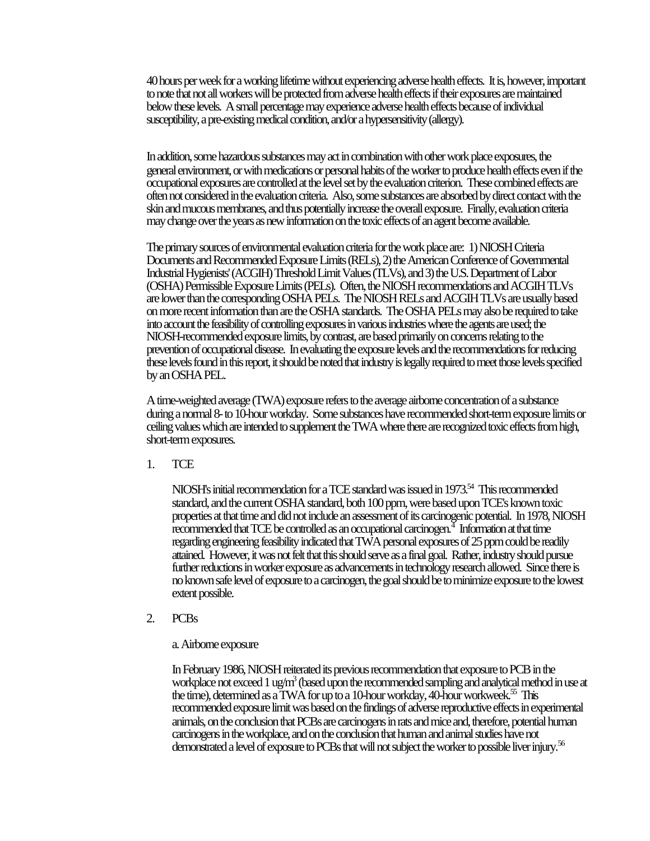40 hours per week for a working lifetime without experiencing adverse health effects. It is, however, important to note that not all workers will be protected from adverse health effects if their exposures are maintained below these levels. A small percentage may experience adverse health effects because of individual susceptibility, a pre-existing medical condition, and/or a hypersensitivity (allergy).

In addition, some hazardous substances may act in combination with other work place exposures, the general environment, or with medications or personal habits of the worker to produce health effects even if the occupational exposures are controlled at the level set by the evaluation criterion. These combined effects are often not considered in the evaluation criteria. Also, some substances are absorbed by direct contact with the skin and mucous membranes, and thus potentially increase the overall exposure. Finally, evaluation criteria may change over the years as new information on the toxic effects of an agent become available.

The primary sources of environmental evaluation criteria for the work place are: 1) NIOSH Criteria Documents and Recommended Exposure Limits (RELs), 2) the American Conference of Governmental Industrial Hygienists' (ACGIH) Threshold Limit Values (TLVs), and 3) the U.S. Department of Labor (OSHA) Permissible Exposure Limits (PELs). Often, the NIOSH recommendations and ACGIH TLVs are lower than the corresponding OSHA PELs. The NIOSH RELs and ACGIH TLVs are usually based on more recent information than are the OSHA standards. The OSHA PELs may also be required to take into account the feasibility of controlling exposures in various industries where the agents are used; the NIOSH-recommended exposure limits, by contrast, are based primarily on concerns relating to the prevention of occupational disease. In evaluating the exposure levels and the recommendations for reducing these levels found in this report, it should be noted that industry is legally required to meet those levels specified by an OSHA PEL.

A time-weighted average (TWA) exposure refers to the average airborne concentration of a substance during a normal 8- to 10-hour workday. Some substances have recommended short-term exposure limits or ceiling values which are intended to supplement the TWA where there are recognized toxic effects from high, short-term exposures.

1. TCE

NIOSH's initial recommendation for a TCE standard was issued in 1973.<sup>54</sup> This recommended standard, and the current OSHA standard, both 100 ppm, were based upon TCE's known toxic properties at that time and did not include an assessment of its carcinogenic potential. In 1978, NIOSH  $\overline{\text{reconnected}}$  that TCE be controlled as an occupational carcinogen. $^4$  Information at that time regarding engineering feasibility indicated that TWA personal exposures of 25 ppm could be readily attained. However, it was not felt that this should serve as a final goal. Rather, industry should pursue further reductions in worker exposure as advancements in technology research allowed. Since there is no known safe level of exposure to a carcinogen, the goal should be to minimize exposure to the lowest extent possible.

2. PCBs

a. Airborne exposure

In February 1986, NIOSH reiterated its previous recommendation that exposure to PCB in the workplace not exceed 1 ug/m<sup>3</sup> (based upon the recommended sampling and analytical method in use at the time), determined as a TWA for up to a 10-hour workday, 40-hour workweek.<sup>55</sup> This recommended exposure limit was based on the findings of adverse reproductive effects in experimental animals, on the conclusion that PCBs are carcinogens in rats and mice and, therefore, potential human carcinogens in the workplace, and on the conclusion that human and animal studies have not demonstrated a level of exposure to PCBs that will not subject the worker to possible liver injury.<sup>56</sup>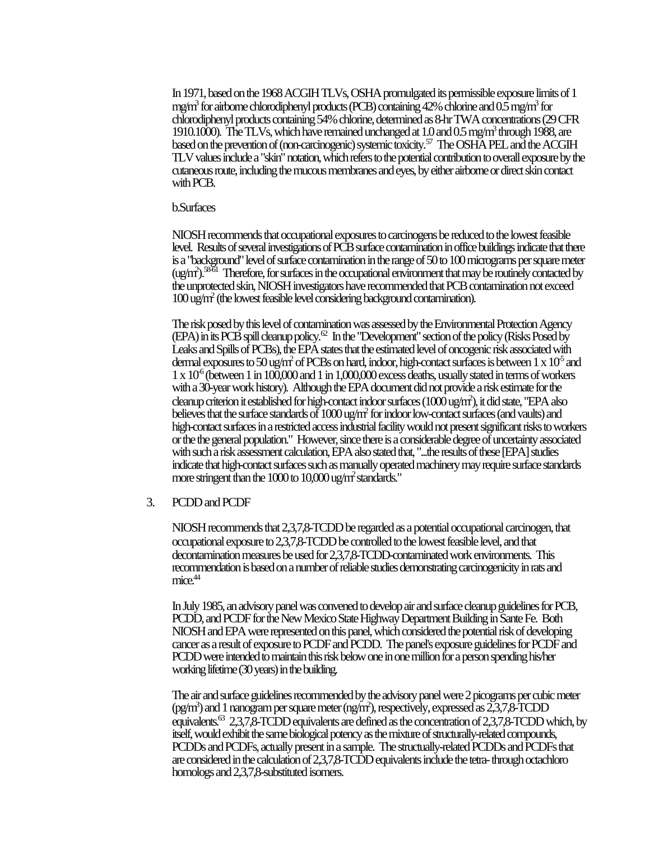In 1971, based on the 1968 ACGIH TLVs, OSHA promulgated its permissible exposure limits of 1 mg/m<sup>3</sup> for airborne chlorodiphenyl products (PCB) containing 42% chlorine and 0.5 mg/m<sup>3</sup> for chlorodiphenyl products containing 54% chlorine, determined as 8-hr TWA concentrations (29 CFR 1910.1000). The TLVs, which have remained unchanged at  $1.0$  and  $0.5$  mg/m<sup>3</sup> through 1988, are based on the prevention of (non-carcinogenic) systemic toxicity.<sup>57</sup> The OSHA PEL and the ACGIH TLV values include a "skin" notation, which refers to the potential contribution to overall exposure by the cutaneous route, including the mucous membranes and eyes, by either airborne or direct skin contact with PCB.

#### b.Surfaces

NIOSH recommends that occupational exposures to carcinogens be reduced to the lowest feasible level. Results of several investigations of PCB surface contamination in office buildings indicate that there is a "background" level of surface contamination in the range of 50 to 100 micrograms per square meter  $\frac{\text{(ug/m)}{3861}}$  Therefore, for surfaces in the occupational environment that may be routinely contacted by the unprotected skin, NIOSH investigators have recommended that PCB contamination not exceed 100 ug/m<sup>2</sup> (the lowest feasible level considering background contamination).

The risk posed by this level of contamination was assessed by the Environmental Protection Agency (EPA) in its PCB spill cleanup policy.<sup>62</sup> In the "Development" section of the policy (Risks Posed by Leaks and Spills of PCBs), the EPA states that the estimated level of oncogenic risk associated with dermal exposures to 50 ug/m<sup>2</sup> of PCBs on hard, indoor, high-contact surfaces is between  $1 \times 10^5$  and  $1 \times 10^6$  (between 1 in 100,000 and 1 in 1,000,000 excess deaths, usually stated in terms of workers with a 30-year work history). Although the EPA document did not provide a risk estimate for the cleanup criterion it established for high-contact indoor surfaces ( $1000$  ug/m<sup>2</sup>), it did state, "EPA also believes that the surface standards of 1000 ug/m<sup>2</sup> for indoor low-contact surfaces (and vaults) and high-contact surfaces in a restricted access industrial facility would not present significant risks to workers or the the general population." However, since there is a considerable degree of uncertainty associated with such a risk assessment calculation, EPA also stated that, "...the results of these [EPA] studies indicate that high-contact surfaces such as manually operated machinery may require surface standards more stringent than the 1000 to 10,000 ug/m<sup>2</sup> standards."

#### 3. PCDD and PCDF

NIOSH recommends that 2,3,7,8-TCDD be regarded as a potential occupational carcinogen, that occupational exposure to 2,3,7,8-TCDD be controlled to the lowest feasible level, and that decontamination measures be used for 2,3,7,8-TCDD-contaminated work environments. This recommendation is based on a number of reliable studies demonstrating carcinogenicity in rats and  $mice.<sup>44</sup>$ 

In July 1985, an advisory panel was convened to develop air and surface cleanup guidelines for PCB, PCDD, and PCDF for the New Mexico State Highway Department Building in Sante Fe. Both NIOSH and EPA were represented on this panel, which considered the potential risk of developing cancer as a result of exposure to PCDF and PCDD. The panel's exposure guidelines for PCDF and PCDD were intended to maintain this risk below one in one million for a person spending his/her working lifetime (30 years) in the building.

The air and surface guidelines recommended by the advisory panel were 2 picograms per cubic meter (pg/m<sup>3</sup>) and 1 nanogram per square meter (ng/m<sup>2</sup>), respectively, expressed as 2,3,7,8-TCDD equivalents. $^{63}$  2,3,7,8-TCDD equivalents are defined as the concentration of 2,3,7,8-TCDD which, by itself, would exhibit the same biological potency as the mixture of structurally-related compounds, PCDDs and PCDFs, actually present in a sample. The structually-related PCDDs and PCDFs that are considered in the calculation of 2,3,7,8-TCDD equivalents include the tetra- through octachloro homologs and 2,3,7,8-substituted isomers.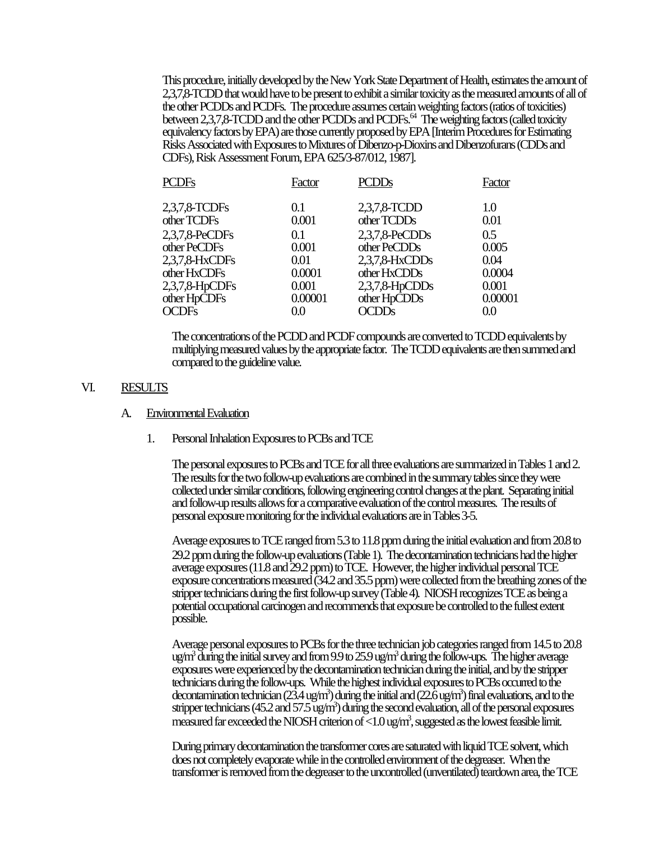This procedure, initially developed by the New York State Department of Health, estimates the amount of 2,3,7,8-TCDD that would have to be present to exhibit a similar toxicity as the measured amounts of all of the other PCDDs and PCDFs. The procedure assumes certain weighting factors (ratios of toxicities) between 2,3,7,8-TCDD and the other PCDDs and PCDFs.<sup>64</sup> The weighting factors (called toxicity equivalency factors by EPA) are those currently proposed by EPA [Interim Procedures for Estimating Risks Associated with Exposures to Mixtures of Dibenzo-p-Dioxins and Dibenzofurans (CDDs and CDFs), Risk Assessment Forum, EPA 625/3-87/012, 1987].

| <b>PCDFs</b>   | Factor  | <b>PCDDs</b>      | Factor  |
|----------------|---------|-------------------|---------|
| 2,3,7,8-TCDFs  | 0.1     | 2,3,7,8-TCDD      | 1.0     |
| other TCDFs    | 0.001   | other TCDDs       | 0.01    |
| 2,3,7,8-PeCDFs | 0.1     | $2,3,7,8$ -PeCDDs | 0.5     |
| other PeCDFs   | 0.001   | other PeCDDs      | 0.005   |
| 2,3,7,8-HxCDFs | 0.01    | 2,3,7,8-HxCDDs    | 0.04    |
| other HxCDFs   | 0.0001  | other HxCDDs      | 0.0004  |
| 2,3,7,8-HpCDFs | 0.001   | $2,3,7,8$ -HpCDDs | 0.001   |
| other HpCDFs   | 0.00001 | other HpCDDs      | 0.00001 |
| <b>OCDFs</b>   | 0.0     | <b>OCDDs</b>      | $0.0\,$ |

The concentrations of the PCDD and PCDF compounds are converted to TCDD equivalents by multiplying measured values by the appropriate factor. The TCDD equivalents are then summed and compared to the guideline value.

#### VI. RESULTS

#### A. Environmental Evaluation

1. Personal Inhalation Exposures to PCBs and TCE

The personal exposures to PCBs and TCE for all three evaluations are summarized in Tables 1 and 2. The results for the two follow-up evaluations are combined in the summary tables since they were collected under similar conditions, following engineering control changes at the plant. Separating initial and follow-up results allows for a comparative evaluation of the control measures. The results of personal exposure monitoring for the individual evaluations are in Tables 3-5.

Average exposures to TCE ranged from 5.3 to 11.8 ppm during the initial evaluation and from 20.8 to 29.2 ppm during the follow-up evaluations (Table 1). The decontamination technicians had the higher average exposures (11.8 and 29.2 ppm) to TCE. However, the higher individual personal TCE exposure concentrations measured (34.2 and 35.5 ppm) were collected from the breathing zones of the stripper technicians during the first follow-up survey (Table 4). NIOSH recognizes TCE as being a potential occupational carcinogen and recommends that exposure be controlled to the fullest extent possible.

Average personal exposures to PCBs for the three technician job categories ranged from 14.5 to 20.8 ug/m<sup>3</sup> during the initial survey and from 9.9 to 25.9 ug/m<sup>3</sup> during the follow-ups. The higher average exposures were experienced by the decontamination technician during the initial, and by the stripper technicians during the follow-ups. While the highest individual exposures to PCBs occurred to the decontamination technician (23.4 ug/m<sup>3</sup>) during the initial and (22.6 ug/m<sup>3</sup>) final evaluations, and to the stripper technicians (45.2 and 57.5 ug/m<sup>3</sup>) during the second evaluation, all of the personal exposures measured far exceeded the NIOSH criterion of <1.0 ug/m<sup>3</sup>, suggested as the lowest feasible limit.

During primary decontamination the transformer cores are saturated with liquid TCE solvent, which does not completely evaporate while in the controlled environment of the degreaser. When the transformer is removed from the degreaser to the uncontrolled (unventilated) teardown area, the TCE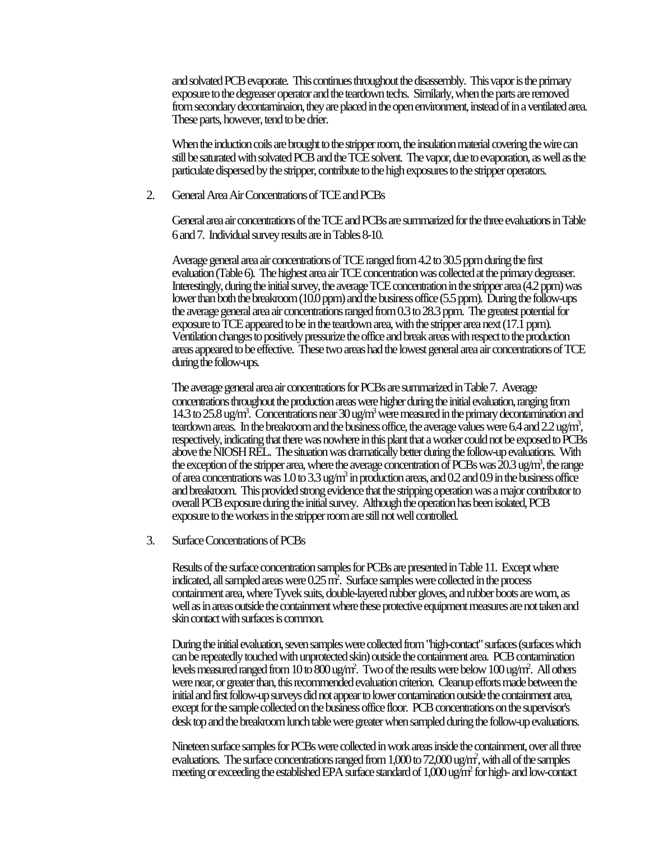and solvated PCB evaporate. This continues throughout the disassembly. This vapor is the primary exposure to the degreaser operator and the teardown techs. Similarly, when the parts are removed from secondary decontaminaion, they are placed in the open environment, instead of in a ventilated area. These parts, however, tend to be drier.

When the induction coils are brought to the stripper room, the insulation material covering the wire can still be saturated with solvated PCB and the TCE solvent. The vapor, due to evaporation, as well as the particulate dispersed by the stripper, contribute to the high exposures to the stripper operators.

2. General Area Air Concentrations of TCE and PCBs

General area air concentrations of the TCE and PCBs are summarized for the three evaluations in Table 6 and 7. Individual survey results are in Tables 8-10.

Average general area air concentrations of TCE ranged from 4.2 to 30.5 ppm during the first evaluation (Table 6). The highest area air TCE concentration was collected at the primary degreaser. Interestingly, during the initial survey, the average TCE concentration in the stripper area (4.2 ppm) was lower than both the breakroom (10.0 ppm) and the business office (5.5 ppm). During the follow-ups the average general area air concentrations ranged from 0.3 to 28.3 ppm. The greatest potential for exposure to TCE appeared to be in the teardown area, with the stripper area next (17.1 ppm). Ventilation changes to positively pressurize the office and break areas with respect to the production areas appeared to be effective. These two areas had the lowest general area air concentrations of TCE during the follow-ups.

The average general area air concentrations for PCBs are summarized in Table 7. Average concentrations throughout the production areas were higher during the initial evaluation, ranging from 14.3 to 25.8 ug/m<sup>3</sup>. Concentrations near 30 ug/m<sup>3</sup> were measured in the primary decontamination and teardown areas. In the breakroom and the business office, the average values were 6.4 and 2.2 ug/m<sup>3</sup>, respectively, indicating that there was nowhere in this plant that a worker could not be exposed to PCBs above the NIOSH REL. The situation was dramatically better during the follow-up evaluations. With the exception of the stripper area, where the average concentration of PCBs was  $20.3$  ug/m<sup>3</sup>, the range of area concentrations was  $1.0$  to  $3.3$  ug/m<sup>3</sup> in production areas, and  $0.2$  and  $0.9$  in the business office and breakroom. This provided strong evidence that the stripping operation was a major contributor to overall PCB exposure during the initial survey. Although the operation has been isolated, PCB exposure to the workers in the stripper room are still not well controlled.

3. Surface Concentrations of PCBs

Results of the surface concentration samples for PCBs are presented in Table 11. Except where indicated, all sampled areas were 0.25 m<sup>2</sup>. Surface samples were collected in the process containment area, where Tyvek suits, double-layered rubber gloves, and rubber boots are worn, as well as in areas outside the containment where these protective equipment measures are not taken and skin contact with surfaces is common.

During the initial evaluation, seven samples were collected from "high-contact" surfaces (surfaces which can be repeatedly touched with unprotected skin) outside the containment area. PCB contamination levels measured ranged from 10 to 800 ug/m<sup>2</sup> . Two of the results were below 100 ug/m<sup>2</sup> . All others were near, or greater than, this recommended evaluation criterion. Cleanup efforts made between the initial and first follow-up surveys did not appear to lower contamination outside the containment area, except for the sample collected on the business office floor. PCB concentrations on the supervisor's desk top and the breakroom lunch table were greater when sampled during the follow-up evaluations.

Nineteen surface samples for PCBs were collected in work areas inside the containment, over all three evaluations. The surface concentrations ranged from  $1,000$  to  $72,000$  ug/m<sup>2</sup>, with all of the samples meeting or exceeding the established EPA surface standard of 1,000 ug/m<sup>2</sup> for high- and low-contact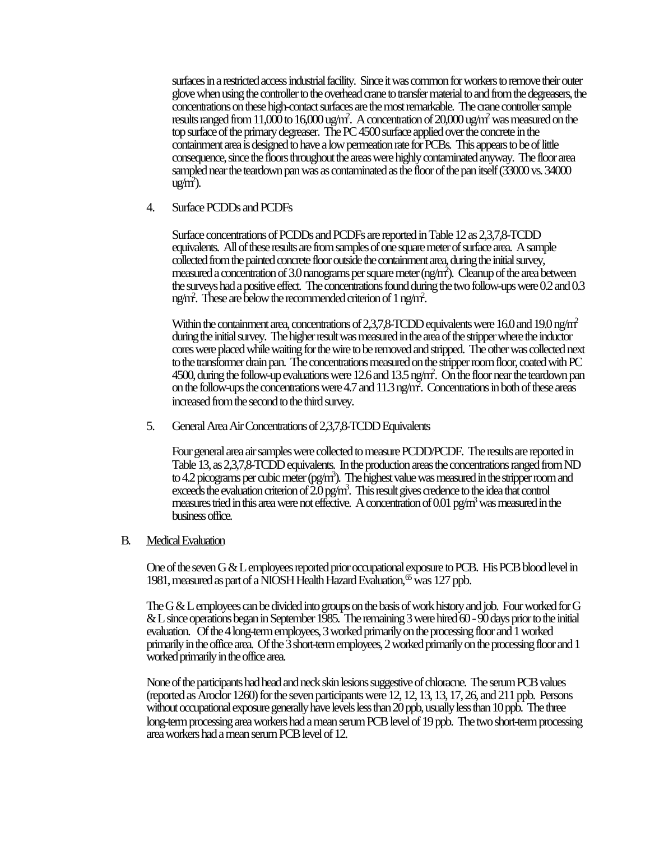surfaces in a restricted access industrial facility. Since it was common for workers to remove their outer glove when using the controller to the overhead crane to transfer material to and from the degreasers, the concentrations on these high-contact surfaces are the most remarkable. The crane controller sample results ranged from 11,000 to 16,000 ug/m<sup>2</sup>. A concentration of 20,000 ug/m<sup>2</sup> was measured on the top surface of the primary degreaser. The PC 4500 surface applied over the concrete in the containment area is designed to have a low permeation rate for PCBs. This appears to be of little consequence, since the floors throughout the areas were highly contaminated anyway. The floor area sampled near the teardown pan was as contaminated as the floor of the pan itself (33000 vs. 34000  $ug/m<sup>2</sup>$ ).

4. Surface PCDDs and PCDFs

Surface concentrations of PCDDs and PCDFs are reported in Table 12 as 2,3,7,8-TCDD equivalents. All of these results are from samples of one square meter of surface area. A sample collected from the painted concrete floor outside the containment area, during the initial survey, measured a concentration of 3.0 nanograms per square meter (ng/m<sup>2</sup> ). Cleanup of the area between the surveys had a positive effect. The concentrations found during the two follow-ups were 0.2 and 0.3 ng/m<sup>2</sup> . These are below the recommended criterion of 1 ng/m<sup>2</sup> .

Within the containment area, concentrations of 2,3,7,8-TCDD equivalents were 16.0 and 19.0 ng/m<sup>2</sup> during the initial survey. The higher result was measured in the area of the stripper where the inductor cores were placed while waiting for the wire to be removed and stripped. The other was collected next to the transformer drain pan. The concentrations measured on the stripper room floor, coated with PC 4500, during the follow-up evaluations were 12.6 and 13.5 ng/m<sup>2</sup>. On the floor near the teardown pan on the follow-ups the concentrations were 4.7 and 11.3 ng/m<sup>2</sup>. Concentrations in both of these areas increased from the second to the third survey.

5. General Area Air Concentrations of 2,3,7,8-TCDD Equivalents

Four general area air samples were collected to measure PCDD/PCDF. The results are reported in Table 13, as 2,3,7,8-TCDD equivalents. In the production areas the concentrations ranged from ND to 4.2 picograms per cubic meter (pg/m<sup>3</sup>). The highest value was measured in the stripper room and exceeds the evaluation criterion of  $\overline{2.0}$  pg/m<sup>3</sup>. This result gives credence to the idea that control measures tried in this area were not effective. A concentration of 0.01 pg/m<sup>3</sup> was measured in the business office.

#### B. Medical Evaluation

One of the seven G & L employees reported prior occupational exposure to PCB. His PCB blood level in 1981, measured as part of a NIOSH Health Hazard Evaluation,  $65$  was 127 ppb.

The G & L employees can be divided into groups on the basis of work history and job. Four worked for G & L since operations began in September 1985. The remaining 3 were hired 60 - 90 days prior to the initial evaluation. Of the 4 long-term employees, 3 worked primarily on the processing floor and 1 worked primarily in the office area. Of the 3 short-term employees, 2 worked primarily on the processing floor and 1 worked primarily in the office area.

None of the participants had head and neck skin lesions suggestive of chloracne. The serum PCB values (reported as Aroclor 1260) for the seven participants were 12, 12, 13, 13, 17, 26, and 211 ppb. Persons without occupational exposure generally have levels less than 20 ppb, usually less than 10 ppb. The three long-term processing area workers had a mean serum PCB level of 19 ppb. The two short-term processing area workers had a mean serum PCB level of 12.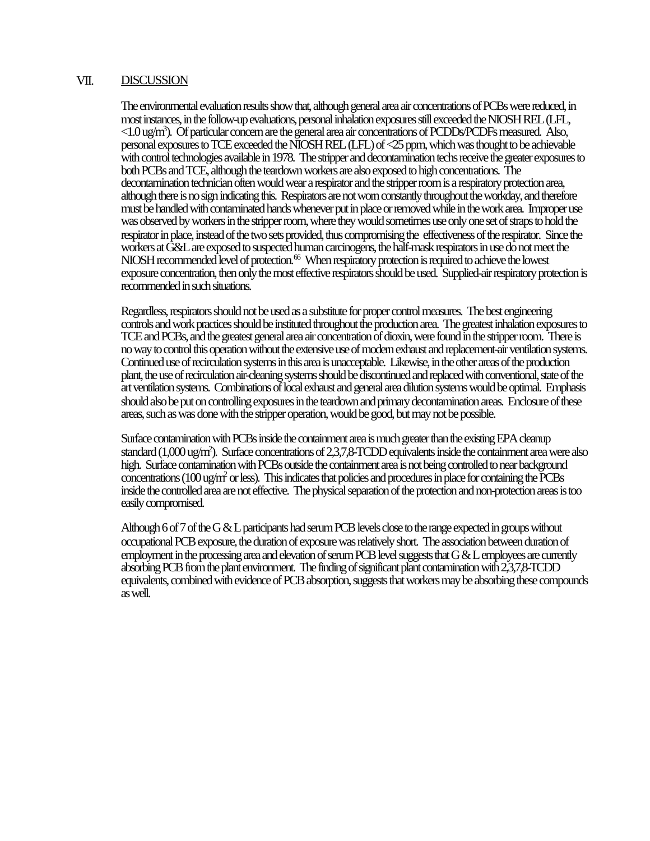#### VII. DISCUSSION

The environmental evaluation results show that, although general area air concentrations of PCBs were reduced, in most instances, in the follow-up evaluations, personal inhalation exposures still exceeded the NIOSH REL (LFL, <1.0 ug/m<sup>3</sup> ). Of particular concern are the general area air concentrations of PCDDs/PCDFs measured. Also, personal exposures to TCE exceeded the NIOSH REL (LFL) of <25 ppm, which was thought to be achievable with control technologies available in 1978. The stripper and decontamination techs receive the greater exposures to both PCBs and TCE, although the teardown workers are also exposed to high concentrations. The decontamination technician often would wear a respirator and the stripper room is a respiratory protection area, although there is no sign indicating this. Respirators are not worn constantly throughout the workday, and therefore must be handled with contaminated hands whenever put in place or removed while in the work area. Improper use was observed by workers in the stripper room, where they would sometimes use only one set of straps to hold the respirator in place, instead of the two sets provided, thus compromising the effectiveness of the respirator. Since the workers at G&L are exposed to suspected human carcinogens, the half-mask respirators in use do not meet the NIOSH recommended level of protection.<sup>66</sup> When respiratory protection is required to achieve the lowest exposure concentration, then only the most effective respirators should be used. Supplied-air respiratory protection is recommended in such situations.

Regardless, respirators should not be used as a substitute for proper control measures. The best engineering controls and work practices should be instituted throughout the production area. The greatest inhalation exposures to TCE and PCBs, and the greatest general area air concentration of dioxin, were found in the stripper room. There is no way to control this operation without the extensive use of modern exhaust and replacement-air ventilation systems. Continued use of recirculation systems in this area is unacceptable. Likewise, in the other areas of the production plant, the use of recirculation air-cleaning systems should be discontinued and replaced with conventional, state of the art ventilation systems. Combinations of local exhaust and general area dilution systems would be optimal. Emphasis should also be put on controlling exposures in the teardown and primary decontamination areas. Enclosure of these areas, such as was done with the stripper operation, would be good, but may not be possible.

Surface contamination with PCBs inside the containment area is much greater than the existing EPA cleanup standard (1,000 ug/m<sup>2</sup>). Surface concentrations of 2,3,7,8-TCDD equivalents inside the containment area were also high. Surface contamination with PCBs outside the containment area is not being controlled to near background concentrations (100 ug/m<sup>2</sup> or less). This indicates that policies and procedures in place for containing the PCBs inside the controlled area are not effective. The physical separation of the protection and non-protection areas is too easily compromised.

Although 6 of 7 of the G & L participants had serum PCB levels close to the range expected in groups without occupational PCB exposure, the duration of exposure was relatively short. The association between duration of employment in the processing area and elevation of serum PCB level suggests that G & L employees are currently absorbing PCB from the plant environment. The finding of significant plant contamination with 2,3,7,8-TCDD equivalents, combined with evidence of PCB absorption, suggests that workers may be absorbing these compounds as well.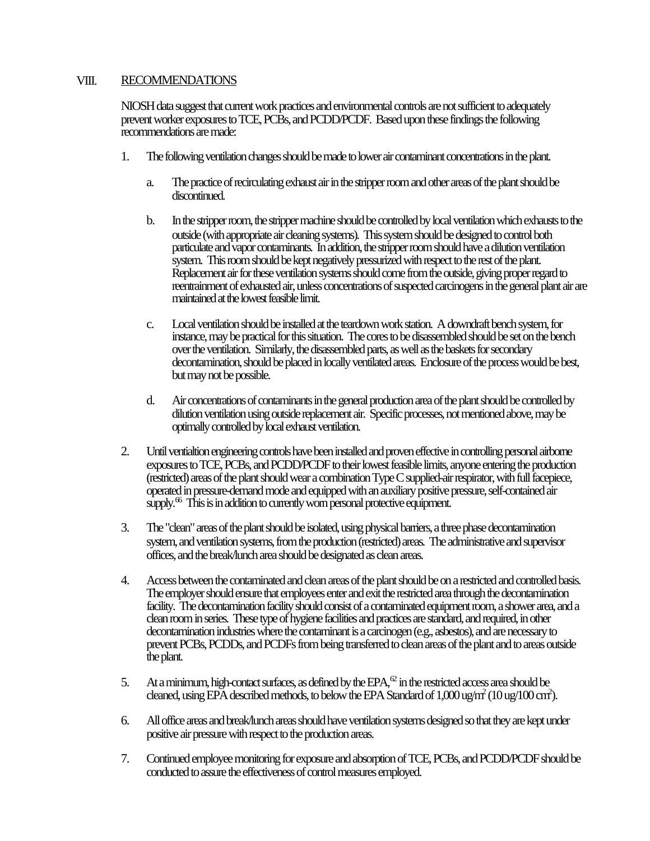### VIII. RECOMMENDATIONS

NIOSH data suggest that current work practices and environmental controls are not sufficient to adequately prevent worker exposures to TCE, PCBs, and PCDD/PCDF. Based upon these findings the following recommendations are made:

- 1. The following ventilation changes should be made to lower air contaminant concentrations in the plant.
	- a. The practice of recirculating exhaust air in the stripper room and other areas of the plant should be discontinued.
	- b. In the stripper room, the stripper machine should be controlled by local ventilation which exhausts to the outside (with appropriate air cleaning systems). This system should be designed to control both particulate and vapor contaminants. In addition, the stripper room should have a dilution ventilation system. This room should be kept negatively pressurized with respect to the rest of the plant. Replacement air for these ventilation systems should come from the outside, giving proper regard to reentrainment of exhausted air, unless concentrations of suspected carcinogens in the general plant air are maintained at the lowest feasible limit.
	- c. Local ventilation should be installed at the teardown work station. A downdraft bench system, for instance, may be practical for this situation. The cores to be disassembled should be set on the bench over the ventilation. Similarly, the disassembled parts, as well as the baskets for secondary decontamination, should be placed in locally ventilated areas. Enclosure of the process would be best, but may not be possible.
	- d. Air concentrations of contaminants in the general production area of the plant should be controlled by dilution ventilation using outside replacement air. Specific processes, not mentioned above, may be optimally controlled by local exhaust ventilation.
- 2. Until ventialtion engineering controls have been installed and proven effective in controlling personal airborne exposures to TCE, PCBs, and PCDD/PCDF to their lowest feasible limits, anyone entering the production (restricted) areas of the plant should wear a combination Type C supplied-air respirator, with full facepiece, operated in pressure-demand mode and equipped with an auxiliary positive pressure, self-contained air supply.<sup>66</sup> This is in addition to currently worn personal protective equipment.
- 3. The "clean" areas of the plant should be isolated, using physical barriers, a three phase decontamination system, and ventilation systems, from the production (restricted) areas. The administrative and supervisor offices, and the break/lunch area should be designated as clean areas.
- 4. Access between the contaminated and clean areas of the plant should be on a restricted and controlled basis. The employer should ensure that employees enter and exit the restricted area through the decontamination facility. The decontamination facility should consist of a contaminated equipment room, a shower area, and a clean room in series. These type of hygiene facilities and practices are standard, and required, in other decontamination industries where the contaminant is a carcinogen (e.g., asbestos), and are necessary to prevent PCBs, PCDDs, and PCDFs from being transferred to clean areas of the plant and to areas outside the plant.
- 5. At a minimum, high-contact surfaces, as defined by the EPA, $\alpha$  in the restricted access area should be cleaned, using EPA described methods, to below the EPA Standard of  $1,000$  ug/m<sup>2</sup> ( $10$  ug/ $100$  cm<sup>2</sup>).
- 6. All office areas and break/lunch areas should have ventilation systems designed so that they are kept under positive air pressure with respect to the production areas.
- 7. Continued employee monitoring for exposure and absorption of TCE, PCBs, and PCDD/PCDF should be conducted to assure the effectiveness of control measures employed.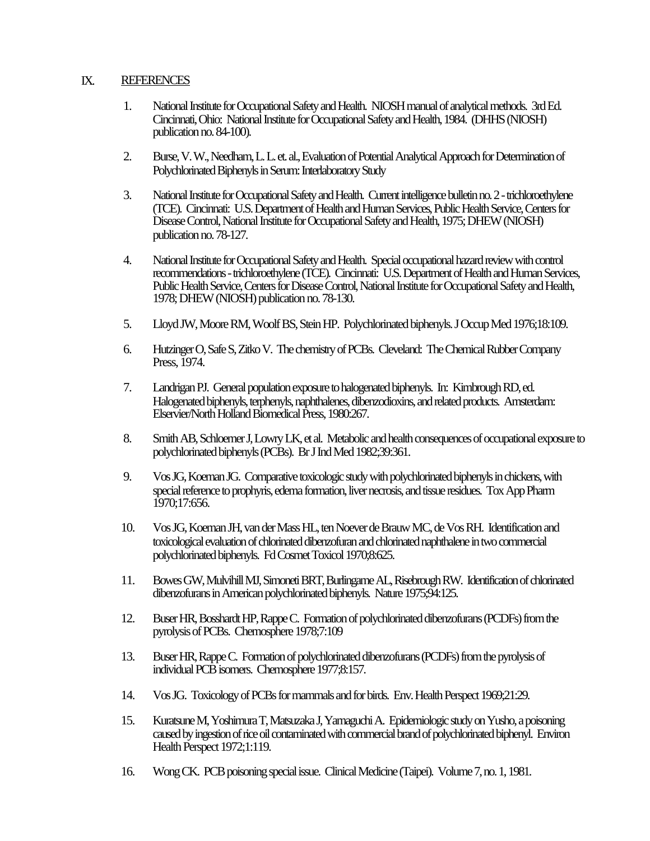### IX. REFERENCES

- 1. National Institute for Occupational Safety and Health. NIOSH manual of analytical methods. 3rd Ed. Cincinnati, Ohio: National Institute for Occupational Safety and Health, 1984. (DHHS (NIOSH) publication no. 84-100).
- 2. Burse, V. W., Needham, L. L. et. al., Evaluation of Potential Analytical Approach for Determination of Polychlorinated Biphenyls in Serum: Interlaboratory Study
- 3. National Institute for Occupational Safety and Health. Current intelligence bulletin no. 2 trichloroethylene (TCE). Cincinnati: U.S. Department of Health and Human Services, Public Health Service, Centers for Disease Control, National Institute for Occupational Safety and Health, 1975; DHEW (NIOSH) publication no. 78-127.
- 4. National Institute for Occupational Safety and Health. Special occupational hazard review with control recommendations - trichloroethylene (TCE). Cincinnati: U.S. Department of Health and Human Services, Public Health Service, Centers for Disease Control, National Institute for Occupational Safety and Health, 1978; DHEW (NIOSH) publication no. 78-130.
- 5. Lloyd JW, Moore RM, Woolf BS, Stein HP. Polychlorinated biphenyls. J Occup Med 1976;18:109.
- 6. Hutzinger O, Safe S, Zitko V. The chemistry of PCBs. Cleveland: The Chemical Rubber Company Press, 1974.
- 7. Landrigan PJ. General population exposure to halogenated biphenyls. In: Kimbrough RD, ed. Halogenated biphenyls, terphenyls, naphthalenes, dibenzodioxins, and related products. Amsterdam: Elservier/North Holland Biomedical Press, 1980:267.
- 8. Smith AB, Schloemer J, Lowry LK, et al. Metabolic and health consequences of occupational exposure to polychlorinated biphenyls (PCBs). Br J Ind Med 1982;39:361.
- 9. Vos JG, Koeman JG. Comparative toxicologic study with polychlorinated biphenyls in chickens, with special reference to prophyris, edema formation, liver necrosis, and tissue residues. Tox App Pharm 1970;17:656.
- 10. Vos JG, Koeman JH, van der Mass HL, ten Noever de Brauw MC, de Vos RH. Identification and toxicological evaluation of chlorinated dibenzofuran and chlorinated naphthalene in two commercial polychlorinated biphenyls. Fd Cosmet Toxicol 1970;8:625.
- 11. Bowes GW, Mulvihill MJ, Simoneti BRT, Burlingame AL, Risebrough RW. Identification of chlorinated dibenzofurans in American polychlorinated biphenyls. Nature 1975;94:125.
- 12. Buser HR, Bosshardt HP, Rappe C. Formation of polychlorinated dibenzofurans (PCDFs) from the pyrolysis of PCBs. Chemosphere 1978;7:109
- 13. Buser HR, Rappe C. Formation of polychlorinated dibenzofurans (PCDFs) from the pyrolysis of individual PCB isomers. Chemosphere 1977;8:157.
- 14. Vos JG. Toxicology of PCBs for mammals and for birds. Env. Health Perspect 1969;21:29.
- 15. Kuratsune M, Yoshimura T, Matsuzaka J, Yamaguchi A. Epidemiologic study on Yusho, a poisoning caused by ingestion of rice oil contaminated with commercial brand of polychlorinated biphenyl. Environ Health Perspect 1972;1:119.
- 16. Wong CK. PCB poisoning special issue. Clinical Medicine (Taipei). Volume 7, no. 1, 1981.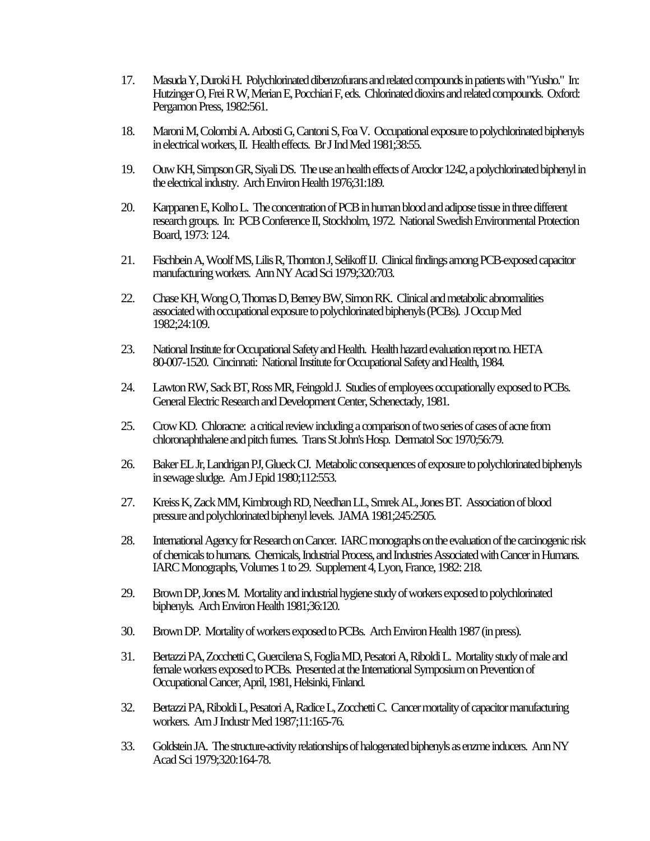- 17. Masuda Y, Duroki H. Polychlorinated dibenzofurans and related compounds in patients with "Yusho." In: Hutzinger O, Frei R W, Merian E, Pocchiari F, eds. Chlorinated dioxins and related compounds. Oxford: Pergamon Press, 1982:561.
- 18. Maroni M, Colombi A. Arbosti G, Cantoni S, Foa V. Occupational exposure to polychlorinated biphenyls in electrical workers, II. Health effects. Br J Ind Med 1981;38:55.
- 19. Ouw KH, Simpson GR, Siyali DS. The use an health effects of Aroclor 1242, a polychlorinated biphenyl in the electrical industry. Arch Environ Health 1976;31:189.
- 20. Karppanen E, Kolho L. The concentration of PCB in human blood and adipose tissue in three different research groups. In: PCB Conference II, Stockholm, 1972. National Swedish Environmental Protection Board, 1973: 124.
- 21. Fischbein A, Woolf MS, Lilis R, Thornton J, Selikoff IJ. Clinical findings among PCB-exposed capacitor manufacturing workers. Ann NY Acad Sci 1979;320:703.
- 22. Chase KH, Wong O, Thomas D, Berney BW, Simon RK. Clinical and metabolic abnormalities associated with occupational exposure to polychlorinated biphenyls (PCBs). J Occup Med 1982;24:109.
- 23. National Institute for Occupational Safety and Health. Health hazard evaluation report no. HETA 80-007-1520. Cincinnati: National Institute for Occupational Safety and Health, 1984.
- 24. Lawton RW, Sack BT, Ross MR, Feingold J. Studies of employees occupationally exposed to PCBs. General Electric Research and Development Center, Schenectady, 1981.
- 25. Crow KD. Chloracne: a critical review including a comparison of two series of cases of acne from chloronaphthalene and pitch fumes. Trans St John's Hosp. Dermatol Soc 1970;56:79.
- 26. Baker EL Jr, Landrigan PJ, Glueck CJ. Metabolic consequences of exposure to polychlorinated biphenyls in sewage sludge. Am J Epid 1980;112:553.
- 27. Kreiss K, Zack MM, Kimbrough RD, Needhan LL, Smrek AL, Jones BT. Association of blood pressure and polychlorinated biphenyl levels. JAMA 1981;245:2505.
- 28. International Agency for Research on Cancer. IARC monographs on the evaluation of the carcinogenic risk of chemicals to humans. Chemicals, Industrial Process, and Industries Associated with Cancer in Humans. IARC Monographs, Volumes 1 to 29. Supplement 4, Lyon, France, 1982: 218.
- 29. Brown DP, Jones M. Mortality and industrial hygiene study of workers exposed to polychlorinated biphenyls. Arch Environ Health 1981;36:120.
- 30. Brown DP. Mortality of workers exposed to PCBs. Arch Environ Health 1987 (in press).
- 31. Bertazzi PA, Zocchetti C, Guercilena S, Foglia MD, Pesatori A, Riboldi L. Mortality study of male and female workers exposed to PCBs. Presented at the International Symposium on Prevention of Occupational Cancer, April, 1981, Helsinki, Finland.
- 32. Bertazzi PA, Riboldi L, Pesatori A, Radice L, Zocchetti C. Cancer mortality of capacitor manufacturing workers. Am J Industr Med 1987;11:165-76.
- 33. Goldstein JA. The structure-activity relationships of halogenated biphenyls as enzme inducers. Ann NY Acad Sci 1979;320:164-78.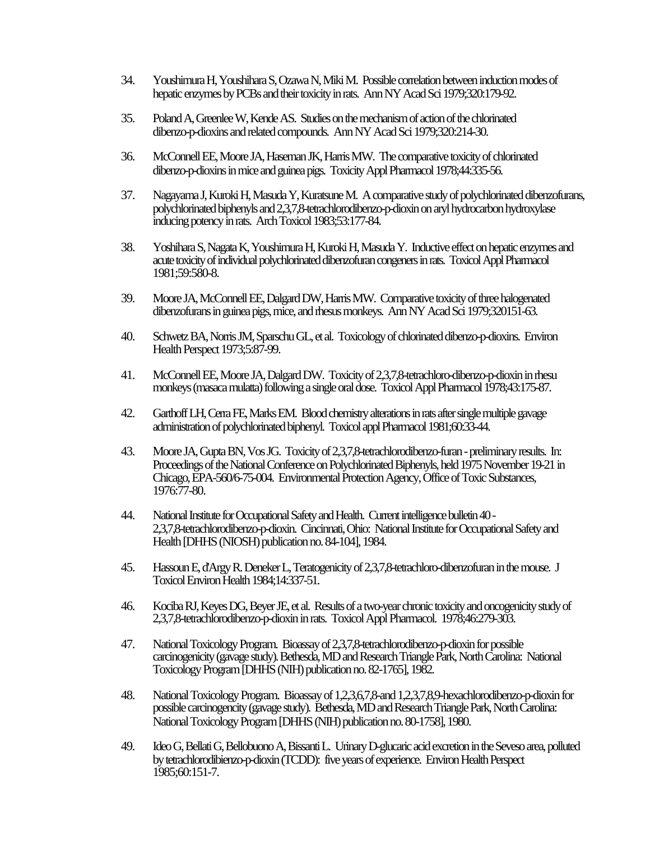- 34. Youshimura H, Youshihara S, Ozawa N, Miki M. Possible correlation between induction modes of hepatic enzymes by PCBs and their toxicity in rats. Ann NY Acad Sci 1979;320:179-92.
- 35. Poland A, Greenlee W, Kende AS. Studies on the mechanism of action of the chlorinated dibenzo-p-dioxins and related compounds. Ann NY Acad Sci 1979;320:214-30.
- 36. McConnell EE, Moore JA, Haseman JK, Harris MW. The comparative toxicity of chlorinated dibenzo-p-dioxins in mice and guinea pigs. Toxicity Appl Pharmacol 1978;44:335-56.
- 37. Nagayama J, Kuroki H, Masuda Y, Kuratsune M. A comparative study of polychlorinated dibenzofurans, polychlorinated biphenyls and 2,3,7,8-tetrachlorodibenzo-p-dioxin on aryl hydrocarbon hydroxylase inducing potency in rats. Arch Toxicol 1983;53:177-84.
- 38. Yoshihara S, Nagata K, Youshimura H, Kuroki H, Masuda Y. Inductive effect on hepatic enzymes and acute toxicity of individual polychlorinated dibenzofuran congeners in rats. Toxicol Appl Pharmacol 1981;59:580-8.
- 39. Moore JA, McConnell EE, Dalgard DW, Harris MW. Comparative toxicity of three halogenated dibenzofurans in guinea pigs, mice, and rhesus monkeys. Ann NY Acad Sci 1979;320151-63.
- 40. Schwetz BA, Norris JM, Sparschu GL, et al. Toxicology of chlorinated dibenzo-p-dioxins. Environ Health Perspect 1973;5:87-99.
- 41. McConnell EE, Moore JA, Dalgard DW. Toxicity of 2,3,7,8-tetrachloro-dibenzo-p-dioxin in rhesu monkeys (masaca mulatta) following a single oral dose. Toxicol Appl Pharmacol 1978;43:175-87.
- 42. Garthoff LH, Cerra FE, Marks EM. Blood chemistry alterations in rats after single multiple gavage administration of polychlorinated biphenyl. Toxicol appl Pharmacol 1981;60:33-44.
- 43. Moore JA, Gupta BN, Vos JG. Toxicity of 2,3,7,8-tetrachlorodibenzo-furan preliminary results. In: Proceedings of the National Conference on Polychlorinated Biphenyls, held 1975 November 19-21 in Chicago, EPA-560/6-75-004. Environmental Protection Agency, Office of Toxic Substances, 1976:77-80.
- 44. National Institute for Occupational Safety and Health. Current intelligence bulletin 40 2,3,7,8-tetrachlorodibenzo-p-dioxin. Cincinnati, Ohio: National Institute for Occupational Safety and Health [DHHS (NIOSH) publication no. 84-104], 1984.
- 45. Hassoun E, d'Argy R. Deneker L, Teratogenicity of 2,3,7,8-tetrachloro-dibenzofuran in the mouse. J Toxicol Environ Health 1984;14:337-51.
- 46. Kociba RJ, Keyes DG, Beyer JE, et al. Results of a two-year chronic toxicity and oncogenicity study of 2,3,7,8-tetrachlorodibenzo-p-dioxin in rats. Toxicol Appl Pharmacol. 1978;46:279-303.
- 47. National Toxicology Program. Bioassay of 2,3,7,8-tetrachlorodibenzo-p-dioxin for possible carcinogenicity (gavage study). Bethesda, MD and Research Triangle Park, North Carolina: National Toxicology Program [DHHS (NIH) publication no. 82-1765], 1982.
- 48. National Toxicology Program. Bioassay of 1,2,3,6,7,8-and 1,2,3,7,8,9-hexachlorodibenzo-p-dioxin for possible carcinogencity (gavage study). Bethesda, MD and Research Triangle Park, North Carolina: National Toxicology Program [DHHS (NIH) publication no. 80-1758], 1980.
- 49. Ideo G, Bellati G, Bellobuono A, Bissanti L. Urinary D-glucaric acid excretion in the Seveso area, polluted by tetrachlorodibienzo-p-dioxin (TCDD): five years of experience. Environ Health Perspect 1985;60:151-7.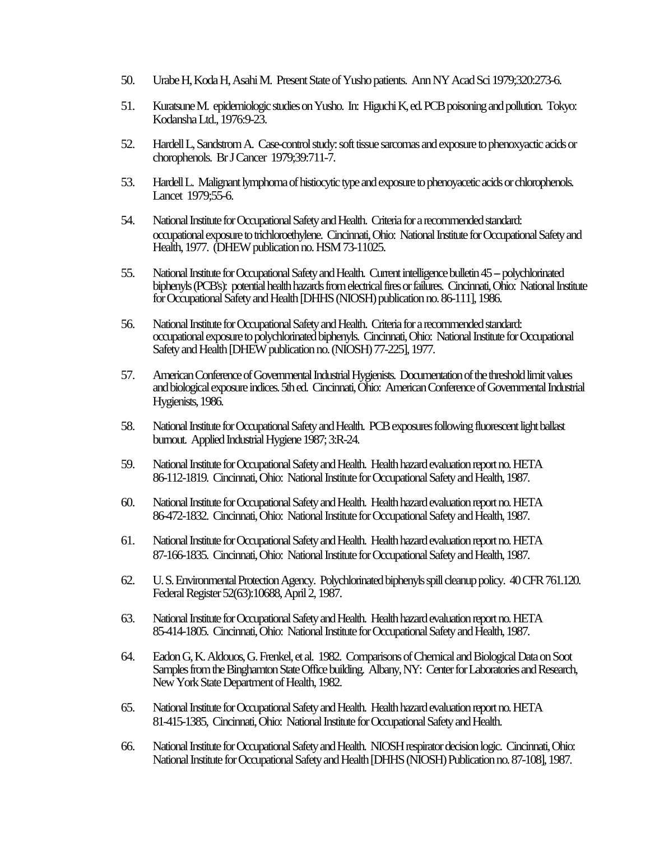- 50. Urabe H, Koda H, Asahi M. Present State of Yusho patients. Ann NY Acad Sci 1979;320:273-6.
- 51. Kuratsune M. epidemiologic studies on Yusho. In: Higuchi K, ed. PCB poisoning and pollution. Tokyo: Kodansha Ltd., 1976:9-23.
- 52. Hardell L, Sandstrom A. Case-control study: soft tissue sarcomas and exposure to phenoxyactic acids or chorophenols. Br J Cancer 1979;39:711-7.
- 53. Hardell L. Malignant lymphoma of histiocytic type and exposure to phenoyacetic acids or chlorophenols. Lancet 1979;55-6.
- 54. National Institute for Occupational Safety and Health. Criteria for a recommended standard: occupational exposure to trichloroethylene. Cincinnati, Ohio: National Institute for Occupational Safety and Health, 1977. (DHEW publication no. HSM 73-11025.
- 55. National Institute for Occupational Safety and Health. Current intelligence bulletin 45 -- polychlorinated biphenyls (PCB's): potential health hazards from electrical fires or failures. Cincinnati, Ohio: National Institute for Occupational Safety and Health [DHHS (NIOSH) publication no. 86-111], 1986.
- 56. National Institute for Occupational Safety and Health. Criteria for a recommended standard: occupational exposure to polychlorinated biphenyls. Cincinnati, Ohio: National Institute for Occupational Safety and Health [DHEW publication no. (NIOSH) 77-225], 1977.
- 57. American Conference of Governmental Industrial Hygienists. Documentation of the threshold limit values and biological exposure indices. 5th ed. Cincinnati, Ohio: American Conference of Governmental Industrial Hygienists, 1986.
- 58. National Institute for Occupational Safety and Health. PCB exposures following fluorescent light ballast burnout. Applied Industrial Hygiene 1987; 3:R-24.
- 59. National Institute for Occupational Safety and Health. Health hazard evaluation report no. HETA 86-112-1819. Cincinnati, Ohio: National Institute for Occupational Safety and Health, 1987.
- 60. National Institute for Occupational Safety and Health. Health hazard evaluation report no. HETA 86-472-1832. Cincinnati, Ohio: National Institute for Occupational Safety and Health, 1987.
- 61. National Institute for Occupational Safety and Health. Health hazard evaluation report no. HETA 87-166-1835. Cincinnati, Ohio: National Institute for Occupational Safety and Health, 1987.
- 62. U. S. Environmental Protection Agency. Polychlorinated biphenyls spill cleanup policy. 40 CFR 761.120. Federal Register 52(63):10688, April 2, 1987.
- 63. National Institute for Occupational Safety and Health. Health hazard evaluation report no. HETA 85-414-1805. Cincinnati, Ohio: National Institute for Occupational Safety and Health, 1987.
- 64. Eadon G, K. Aldouos, G. Frenkel, et al. 1982. Comparisons of Chemical and Biological Data on Soot Samples from the Binghamton State Office building. Albany, NY: Center for Laboratories and Research, New York State Department of Health, 1982.
- 65. National Institute for Occupational Safety and Health. Health hazard evaluation report no. HETA 81-415-1385, Cincinnati, Ohio: National Institute for Occupational Safety and Health.
- 66. National Institute for Occupational Safety and Health. NIOSH respirator decision logic. Cincinnati, Ohio: National Institute for Occupational Safety and Health [DHHS (NIOSH) Publication no. 87-108], 1987.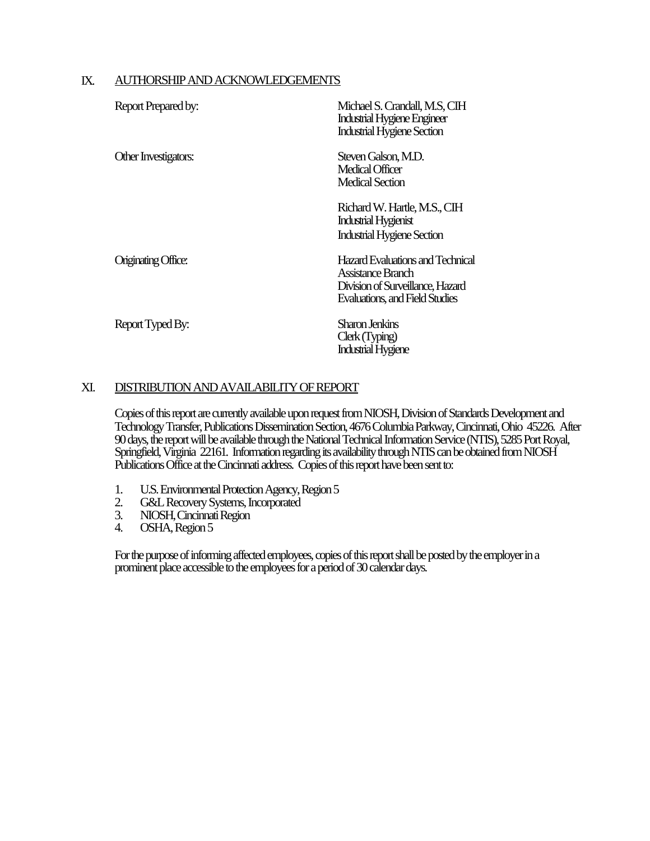### IX. AUTHORSHIP AND ACKNOWLEDGEMENTS

| Report Prepared by:        | Michael S. Crandall, M.S. CIH<br><b>Industrial Hygiene Engineer</b><br><b>Industrial Hygiene Section</b>                           |
|----------------------------|------------------------------------------------------------------------------------------------------------------------------------|
| Other Investigators:       | Steven Galson, M.D.<br>Medical Officer<br>Medical Section                                                                          |
|                            | Richard W. Hartle, M.S., CIH<br><b>Industrial Hygienist</b><br><b>Industrial Hygiene Section</b>                                   |
| <b>Originating Office:</b> | Hazard Evaluations and Technical<br>Assistance Branch<br>Division of Surveillance, Hazard<br><b>Evaluations, and Field Studies</b> |
| Report Typed By:           | Sharon Jenkins<br>Clerk (Typing)<br><b>Industrial Hygiene</b>                                                                      |

### XI. DISTRIBUTION AND AVAILABILITY OF REPORT

Copies of this report are currently available upon request from NIOSH, Division of Standards Development and Technology Transfer, Publications Dissemination Section, 4676 Columbia Parkway, Cincinnati, Ohio 45226. After 90 days, the report will be available through the National Technical Information Service (NTIS), 5285 Port Royal, Springfield, Virginia 22161. Information regarding its availability through NTIS can be obtained from NIOSH Publications Office at the Cincinnati address. Copies of this report have been sent to:

- 1. U.S. Environmental Protection Agency, Region 5<br>2. G&L Recovery Systems, Incorporated
- 2. G&L Recovery Systems, Incorporated<br>3. NIOSH Cincinnati Region
- 3. NIOSH, Cincinnati Region<br>4. OSHA, Region 5
- OSHA, Region 5

For the purpose of informing affected employees, copies of this report shall be posted by the employer in a prominent place accessible to the employees for a period of 30 calendar days.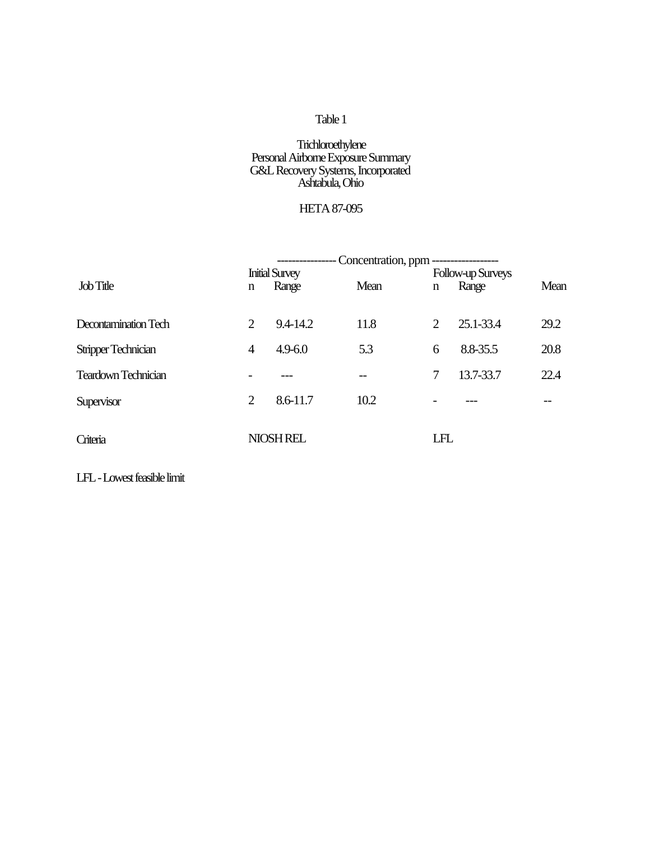### **Trichloroethylene** Personal Airborne Exposure Summary G&L Recovery Systems, Incorporated Ashtabula, Ohio

# HETA 87-095

|                            | Concentration, ppm ------------------ |                                |      |     |                            |      |  |
|----------------------------|---------------------------------------|--------------------------------|------|-----|----------------------------|------|--|
| Job Title                  | n                                     | <b>Initial Survey</b><br>Range | Mean | n   | Follow-up Surveys<br>Range | Mean |  |
| Decontamination Tech       | 2                                     | 9.4-14.2                       | 11.8 | 2   | 25.1-33.4                  | 29.2 |  |
| Stripper Technician        | 4                                     | $4.9 - 6.0$                    | 5.3  | 6   | 8.8-35.5                   | 20.8 |  |
| <b>Teardown Technician</b> |                                       |                                |      | 7   | 13.7-33.7                  | 22.4 |  |
| Supervisor                 | $\overline{2}$                        | 8.6-11.7                       | 10.2 |     |                            |      |  |
| Criteria                   |                                       | NIOSH REL                      |      | LFL |                            |      |  |

LFL - Lowest feasible limit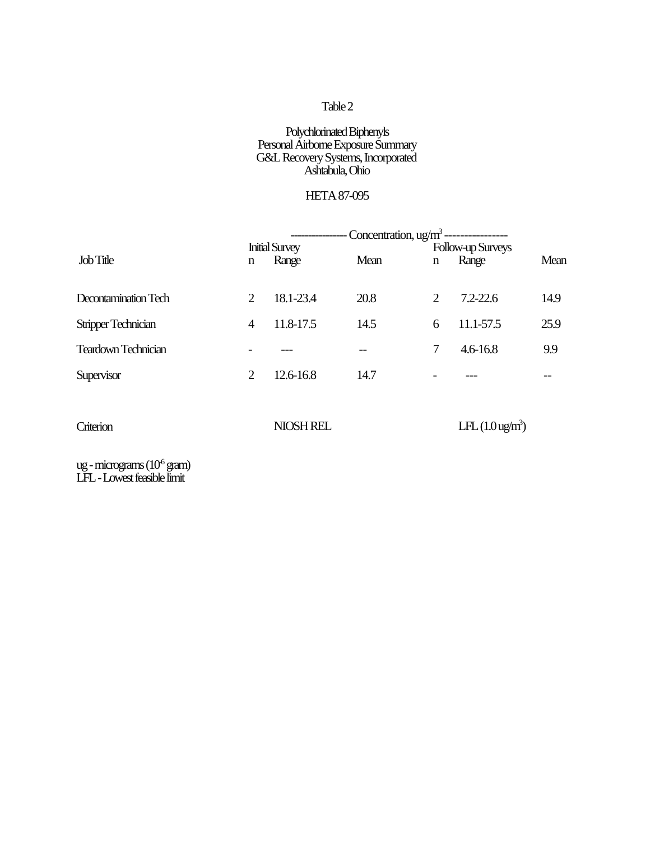### Polychlorinated Biphenyls Personal Airborne Exposure Summary G&L Recovery Systems, Incorporated Ashtabula, Ohio

# HETA 87-095

|                            | -- Concentration, $\frac{u g}{m^3}$ ---------------- |           |      |                   |                            |      |  |
|----------------------------|------------------------------------------------------|-----------|------|-------------------|----------------------------|------|--|
|                            | <b>Initial Survey</b>                                |           |      | Follow-up Surveys |                            |      |  |
| Job Title                  | n                                                    | Range     | Mean | n                 | Range                      | Mean |  |
| Decontamination Tech       | 2                                                    | 18.1-23.4 | 20.8 | 2                 | $7.2 - 22.6$               | 14.9 |  |
| <b>Stripper Technician</b> | $\overline{4}$                                       | 11.8-17.5 | 14.5 | 6                 | 11.1-57.5                  | 25.9 |  |
| <b>Teardown Technician</b> |                                                      |           |      | 7                 | $4.6 - 16.8$               | 9.9  |  |
| Supervisor                 | 2                                                    | 12.6-16.8 | 14.7 |                   |                            |      |  |
|                            |                                                      |           |      |                   |                            |      |  |
| Criterion                  |                                                      | NIOSH REL |      |                   | LFL $(1.0 \text{ ug/m}^3)$ |      |  |

ug - micrograms  $(10^6 \text{ gram})$ LFL - Lowest feasible limit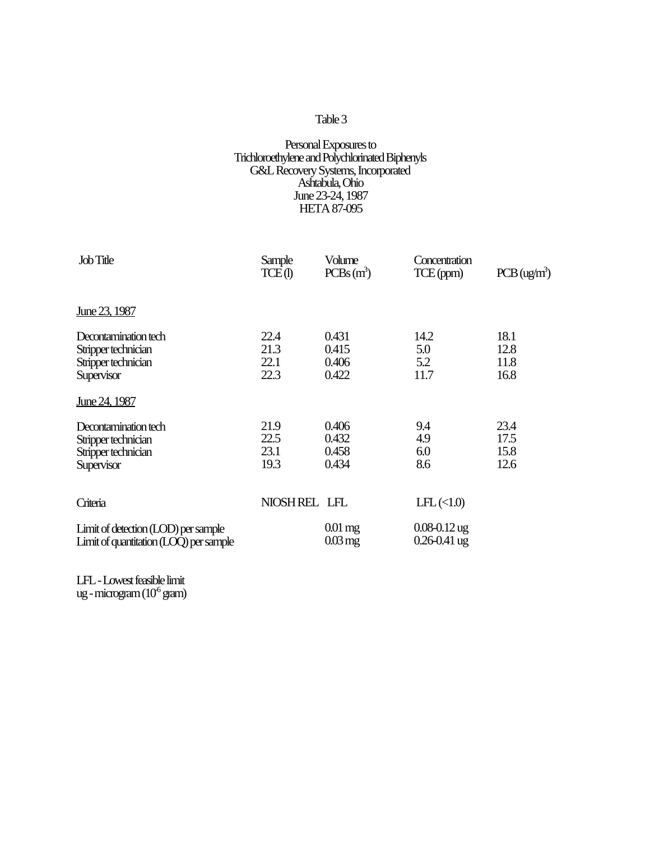#### Personal Exposures to Trichloroethylene and Polychlorinated Biphenyls G&L Recovery Systems, Incorporated Ashtabula, Ohio June 23-24, 1987 HETA 87-095

| <b>Job Title</b>                                                                 | Sample<br>TCE(1)             | Volume<br>$PCBs(m^3)$             | Concentration<br>TCE(ppm)                | $PCB$ (ug/m <sup>3</sup> )   |
|----------------------------------------------------------------------------------|------------------------------|-----------------------------------|------------------------------------------|------------------------------|
| June 23, 1987                                                                    |                              |                                   |                                          |                              |
| Decontamination tech<br>Stripper technician<br>Stripper technician<br>Supervisor | 22.4<br>21.3<br>22.1<br>22.3 | 0.431<br>0.415<br>0.406<br>0.422  | 14.2<br>5.0<br>5.2<br>11.7               | 18.1<br>12.8<br>11.8<br>16.8 |
| June 24, 1987                                                                    |                              |                                   |                                          |                              |
| Decontamination tech<br>Stripper technician<br>Stripper technician<br>Supervisor | 21.9<br>22.5<br>23.1<br>19.3 | 0.406<br>0.432<br>0.458<br>0.434  | 9.4<br>4.9<br>6.0<br>8.6                 | 23.4<br>17.5<br>15.8<br>12.6 |
| Criteria                                                                         | NIOSHREL LFL                 |                                   | $LFL \left( \langle 1.0 \rangle \right)$ |                              |
| Limit of detection (LOD) per sample<br>Limit of quantitation (LOQ) per sample    |                              | $0.01$ mg<br>$0.03 \,\mathrm{mg}$ | $0.08 - 0.12$ ug<br>$0.26 - 0.41$ ug     |                              |

LFL - Lowest feasible limit ug - microgram (10<sup>6</sup> gram)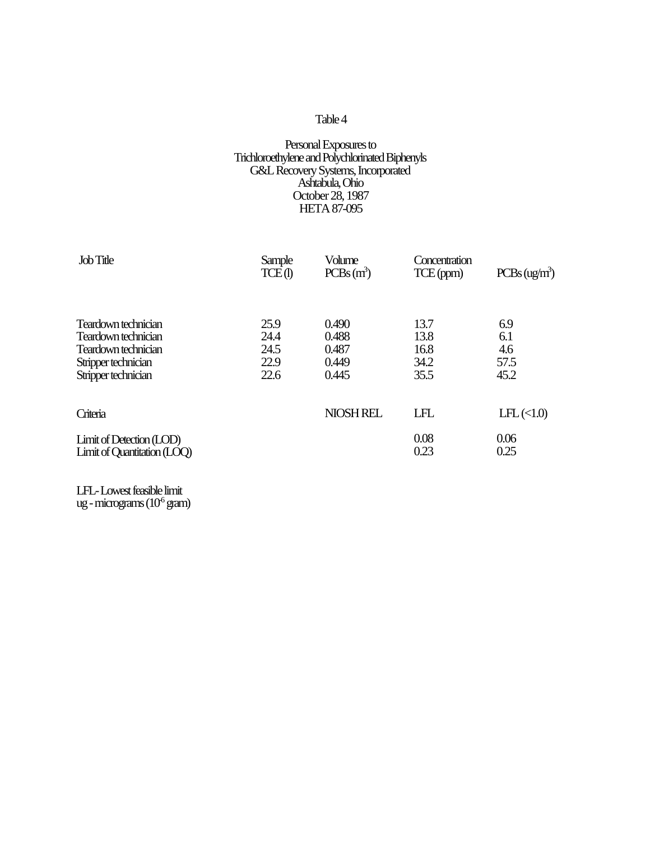#### Personal Exposures to Trichloroethylene and Polychlorinated Biphenyls G&L Recovery Systems, Incorporated Ashtabula, Ohio October 28, 1987 HETA 87-095

| Job Title                                                                                                       | Sample<br>TCE(1)                     | Volume<br>$PCBs(m^3)$                     | Concentration<br>TCE(ppm)            | PCBs (ug/m <sup>3</sup> )                |
|-----------------------------------------------------------------------------------------------------------------|--------------------------------------|-------------------------------------------|--------------------------------------|------------------------------------------|
| Teardown technician<br>Teardown technician<br>Teardown technician<br>Stripper technician<br>Stripper technician | 25.9<br>24.4<br>24.5<br>22.9<br>22.6 | 0.490<br>0.488<br>0.487<br>0.449<br>0.445 | 13.7<br>13.8<br>16.8<br>34.2<br>35.5 | 6.9<br>6.1<br>4.6<br>57.5<br>45.2        |
| Criteria                                                                                                        |                                      | NIOSH REL                                 | LFL                                  | $LFL \left( \langle 1.0 \rangle \right)$ |
| Limit of Detection (LOD)<br>Limit of Quantitation (LOQ)                                                         |                                      |                                           | 0.08<br>0.23                         | 0.06<br>0.25                             |

LFL- Lowest feasible limit ug - micrograms  $(10^6 \text{ gram})$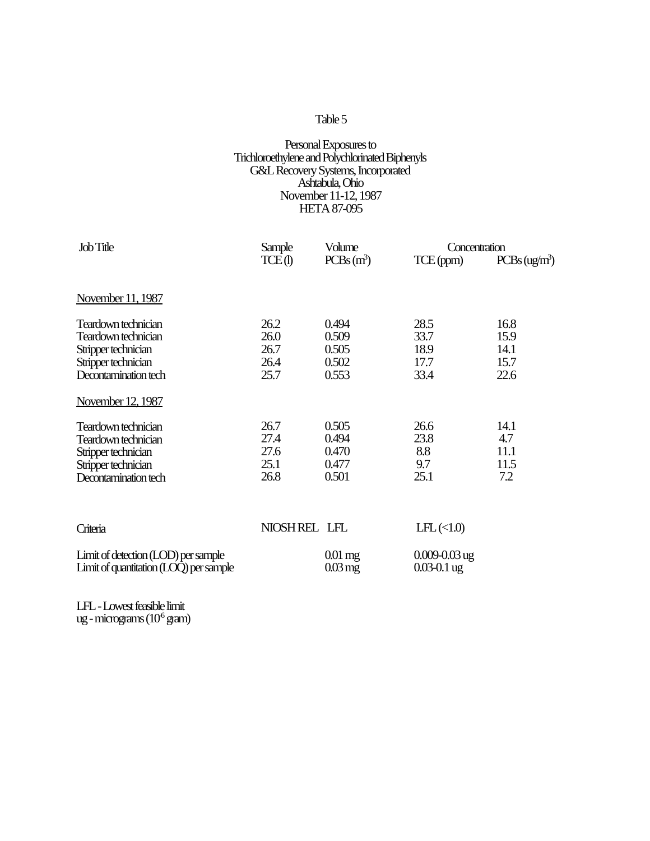#### Personal Exposures to Trichloroethylene and Polychlorinated Biphenyls G&L Recovery Systems, Incorporated Ashtabula, Ohio November 11-12, 1987 HETA 87-095

| Job Title                                                                     | Sample       | Volume                            | Concentration                            |                           |  |
|-------------------------------------------------------------------------------|--------------|-----------------------------------|------------------------------------------|---------------------------|--|
|                                                                               | TCE(I)       | $PCBs(m^3)$                       | TCE(ppm)                                 | PCBs (ug/m <sup>3</sup> ) |  |
|                                                                               |              |                                   |                                          |                           |  |
| November 11, 1987                                                             |              |                                   |                                          |                           |  |
| Teardown technician                                                           | 26.2         | 0.494                             | 28.5                                     | 16.8                      |  |
| Teardown technician                                                           | 26.0         | 0.509                             | 33.7                                     | 15.9                      |  |
| Stripper technician                                                           | 26.7         | 0.505                             | 18.9                                     | 14.1                      |  |
| Stripper technician                                                           | 26.4         | 0.502                             | 17.7                                     | 15.7                      |  |
| Decontamination tech                                                          | 25.7         | 0.553                             | 33.4                                     | 22.6                      |  |
| November 12, 1987                                                             |              |                                   |                                          |                           |  |
| Teardown technician                                                           | 26.7         | 0.505                             | 26.6                                     | 14.1                      |  |
| Teardown technician                                                           | 27.4         | 0.494                             | 23.8                                     | 4.7                       |  |
| Stripper technician                                                           | 27.6         | 0.470                             | 8.8                                      | 11.1                      |  |
| Stripper technician                                                           | 25.1         | 0.477                             | 9.7                                      | 11.5                      |  |
| Decontamination tech                                                          | 26.8         | 0.501                             | 25.1                                     | 7.2                       |  |
|                                                                               |              |                                   |                                          |                           |  |
| Criteria                                                                      | NIOSHREL LFL |                                   | $LFL \left( \langle 1.0 \rangle \right)$ |                           |  |
| Limit of detection (LOD) per sample<br>Limit of quantitation (LOQ) per sample |              | $0.01$ mg<br>$0.03 \,\mathrm{mg}$ | $0.009 - 0.03$ ug<br>$0.03 - 0.1$ ug     |                           |  |

LFL - Lowest feasible limit ug - micrograms  $(10^6 \text{ gram})$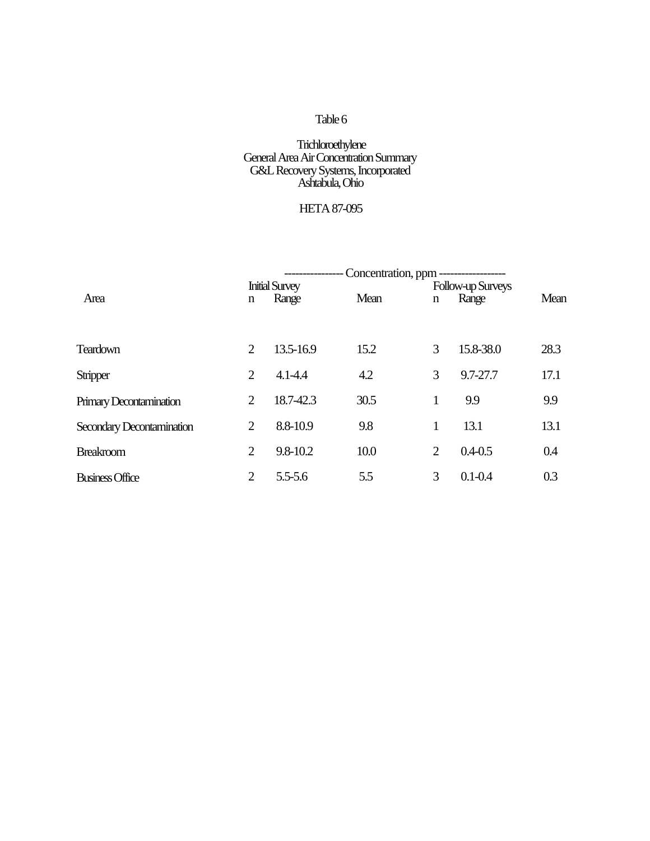### **Trichloroethylene** General Area Air Concentration Summary G&L Recovery Systems, Incorporated Ashtabula, Ohio

# HETA 87-095

|                           | Concentration, ppm ------------------ |             |      |                   |             |      |  |
|---------------------------|---------------------------------------|-------------|------|-------------------|-------------|------|--|
|                           | <b>Initial Survey</b>                 |             |      | Follow-up Surveys |             |      |  |
| Area                      | n                                     | Range       | Mean | n                 | Range       | Mean |  |
|                           |                                       |             |      |                   |             |      |  |
| <b>Teardown</b>           | 2                                     | 13.5-16.9   | 15.2 | 3                 | 15.8-38.0   | 28.3 |  |
| Stripper                  | 2                                     | $4.1 - 4.4$ | 4.2  | 3                 | 9.7-27.7    | 17.1 |  |
| Primary Decontamination   | $\overline{2}$                        | 18.7-42.3   | 30.5 | 1                 | 9.9         | 9.9  |  |
| Secondary Decontamination | $\overline{2}$                        | 8.8-10.9    | 9.8  | 1                 | 13.1        | 13.1 |  |
| <b>Breakroom</b>          | $\overline{2}$                        | 9.8-10.2    | 10.0 | $\overline{2}$    | $0.4 - 0.5$ | 0.4  |  |
| <b>Business Office</b>    | $\overline{2}$                        | $5.5 - 5.6$ | 5.5  | 3                 | $0.1 - 0.4$ | 0.3  |  |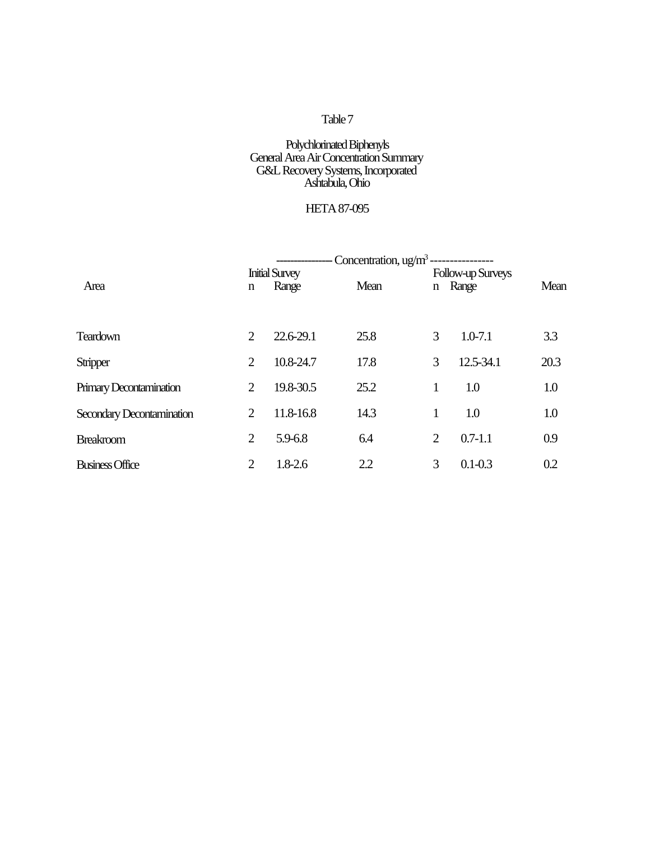### Polychlorinated Biphenyls General Area Air Concentration Summary G&L Recovery Systems, Incorporated Ashtabula, Ohio

# HETA 87-095

|                           | - Concentration, $\frac{u g}{m^3}$ --<br><b>Initial Survey</b><br>Follow-up Surveys |             |      |                |             |      |
|---------------------------|-------------------------------------------------------------------------------------|-------------|------|----------------|-------------|------|
| Area                      | n                                                                                   | Range       | Mean |                | n Range     | Mean |
|                           |                                                                                     |             |      |                |             |      |
| <b>Teardown</b>           | 2                                                                                   | 22.6-29.1   | 25.8 | 3              | $1.0 - 7.1$ | 3.3  |
| Stripper                  | 2                                                                                   | 10.8-24.7   | 17.8 | 3              | 12.5-34.1   | 20.3 |
| Primary Decontamination   | 2                                                                                   | 19.8-30.5   | 25.2 | 1              | 1.0         | 1.0  |
| Secondary Decontamination | $\overline{2}$                                                                      | 11.8-16.8   | 14.3 |                | 1.0         | 1.0  |
| <b>Breakroom</b>          | $\overline{2}$                                                                      | 5.9-6.8     | 6.4  | $\overline{2}$ | $0.7 - 1.1$ | 0.9  |
| <b>Business Office</b>    | $\overline{2}$                                                                      | $1.8 - 2.6$ | 2.2  | 3              | $0.1 - 0.3$ | 0.2  |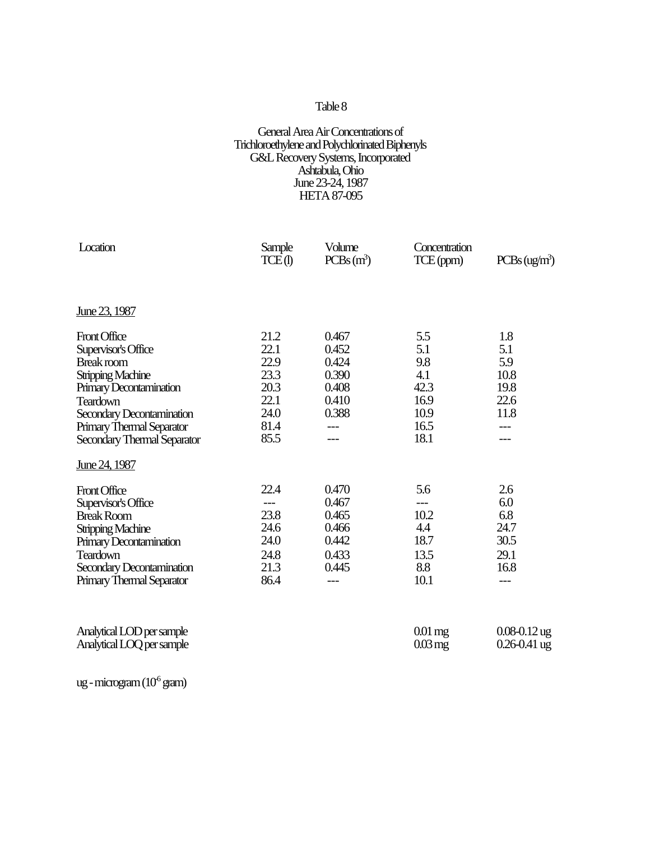### General Area Air Concentrations of Trichloroethylene and Polychlorinated Biphenyls G&L Recovery Systems, Incorporated Ashtabula, Ohio June 23-24, 1987 HETA 87-095

| Location                                                                                                                                                                                                             | Sample<br>TCE(I)                                                     | Volume<br>$PCBs(m^3)$                                                       | Concentration<br>TCE (ppm)                                       | PCBs (ug/m <sup>3</sup> )                                  |
|----------------------------------------------------------------------------------------------------------------------------------------------------------------------------------------------------------------------|----------------------------------------------------------------------|-----------------------------------------------------------------------------|------------------------------------------------------------------|------------------------------------------------------------|
| June 23, 1987                                                                                                                                                                                                        |                                                                      |                                                                             |                                                                  |                                                            |
| Front Office<br>Supervisor's Office<br>Break room<br><b>Stripping Machine</b><br>Primary Decontamination<br><b>Teardown</b><br>Secondary Decontamination<br>Primary Thermal Separator<br>Secondary Thermal Separator | 21.2<br>22.1<br>22.9<br>23.3<br>20.3<br>22.1<br>24.0<br>81.4<br>85.5 | 0.467<br>0.452<br>0.424<br>0.390<br>0.408<br>0.410<br>0.388<br>$---$<br>--- | 5.5<br>5.1<br>9.8<br>4.1<br>42.3<br>16.9<br>10.9<br>16.5<br>18.1 | 1.8<br>5.1<br>5.9<br>10.8<br>19.8<br>22.6<br>11.8<br>$---$ |
| June 24, 1987                                                                                                                                                                                                        |                                                                      |                                                                             |                                                                  |                                                            |
| Front Office<br>Supervisor's Office<br><b>Break Room</b><br>Stripping Machine<br>Primary Decontamination<br><b>Teardown</b><br>Secondary Decontamination<br>Primary Thermal Separator                                | 22.4<br>$---$<br>23.8<br>24.6<br>24.0<br>24.8<br>21.3<br>86.4        | 0.470<br>0.467<br>0.465<br>0.466<br>0.442<br>0.433<br>0.445<br>$---$        | 5.6<br>$---$<br>10.2<br>4.4<br>18.7<br>13.5<br>8.8<br>10.1       | 2.6<br>6.0<br>6.8<br>24.7<br>30.5<br>29.1<br>16.8<br>$---$ |
| Analytical LOD per sample<br>Analytical LOQ per sample                                                                                                                                                               |                                                                      |                                                                             | $0.01$ mg<br>$0.03 \,\mathrm{mg}$                                | $0.08 - 0.12$ ug<br>$0.26 - 0.41$ ug                       |

ug - microgram  $(10^6 \text{ gram})$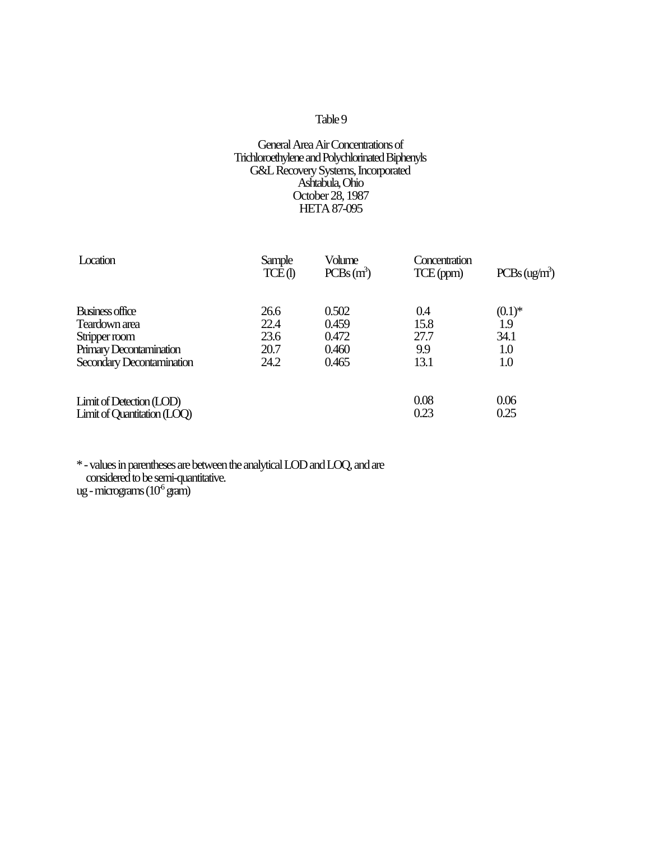### General Area Air Concentrations of Trichloroethylene and Polychlorinated Biphenyls G&L Recovery Systems, Incorporated Ashtabula, Ohio October 28, 1987 HETA 87-095

| Location                    | Sample<br>TCE(1) | Volume<br>$PCBs(m^3)$ | Concentration<br>TCE(ppm) | PCBs (ug/m <sup>3</sup> ) |
|-----------------------------|------------------|-----------------------|---------------------------|---------------------------|
| Business office             | 26.6             | 0.502                 | 0.4                       | $(0.1)$ *                 |
| Teardown area               | 22.4             | 0.459                 | 15.8                      | 1.9                       |
| Stripper room               | 23.6             | 0.472                 | 27.7                      | 34.1                      |
| Primary Decontamination     | 20.7             | 0.460                 | 9.9                       | 1.0                       |
| Secondary Decontamination   | 24.2             | 0.465                 | 13.1                      | 1.0                       |
| Limit of Detection (LOD)    |                  |                       | 0.08                      | 0.06                      |
| Limit of Quantitation (LOQ) |                  |                       | 0.23                      | 0.25                      |

\* - values in parentheses are between the analytical LOD and LOQ, and are considered to be semi-quantitative. ug - micrograms  $(10^6 \,\rm g\text{am})$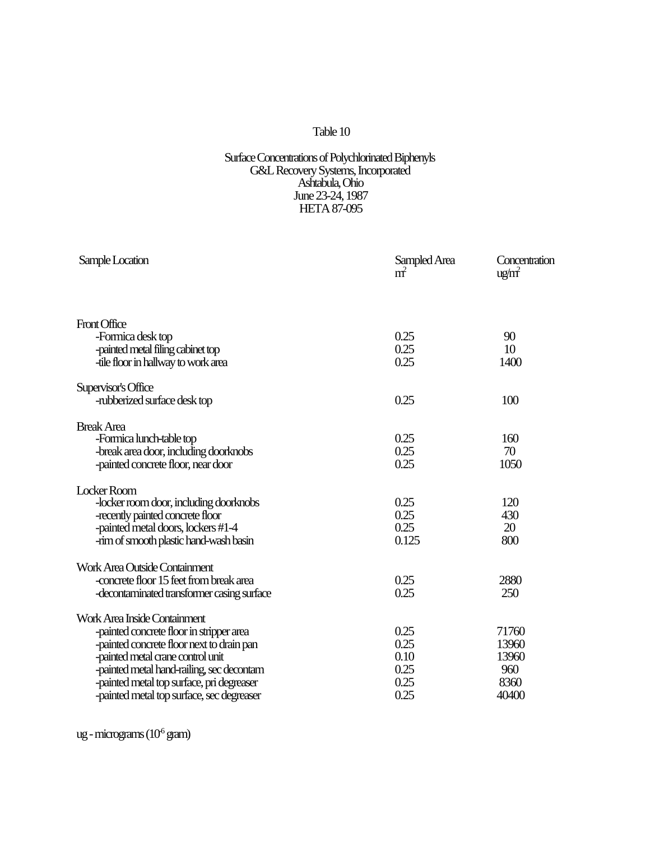#### Surface Concentrations of Polychlorinated Biphenyls G&L Recovery Systems, Incorporated Ashtabula, Ohio June 23-24, 1987 HETA 87-095

| Sample Location                            | Sampled Area<br>m <sup>2</sup> | Concentration<br>ug/m <sup>2</sup> |
|--------------------------------------------|--------------------------------|------------------------------------|
| Front Office                               |                                |                                    |
| -Formica desk top                          | 0.25                           | 90                                 |
| -painted metal filing cabinet top          | 0.25                           | 10                                 |
| -tile floor in hallway to work area        | 0.25                           | 1400                               |
| Supervisor's Office                        |                                |                                    |
| -rubberized surface desk top               | 0.25                           | 100                                |
| <b>Break Area</b>                          |                                |                                    |
| -Formica lunch-table top                   | 0.25                           | 160                                |
| -break area door, including doorknobs      | 0.25                           | 70                                 |
| -painted concrete floor, near door         | 0.25                           | 1050                               |
| Locker Room                                |                                |                                    |
| -locker room door, including doorknobs     | 0.25                           | 120                                |
| -recently painted concrete floor           | 0.25                           | 430                                |
| -painted metal doors, lockers #1-4         | 0.25                           | 20                                 |
| -rim of smooth plastic hand-wash basin     | 0.125                          | 800                                |
| Work Area Outside Containment              |                                |                                    |
| -concrete floor 15 feet from break area    | 0.25                           | 2880                               |
| -decontaminated transformer casing surface | 0.25                           | 250                                |
| Work Area Inside Containment               |                                |                                    |
| -painted concrete floor in stripper area   | 0.25                           | 71760                              |
| -painted concrete floor next to drain pan  | 0.25                           | 13960                              |
| -painted metal crane control unit          | 0.10                           | 13960                              |
| -painted metal hand-railing, sec decontam  | 0.25                           | 960                                |
| -painted metal top surface, pri degreaser  | 0.25                           | 8360                               |
| -painted metal top surface, sec degreaser  | 0.25                           | 40400                              |

ug - micrograms  $(10^6 \text{ gram})$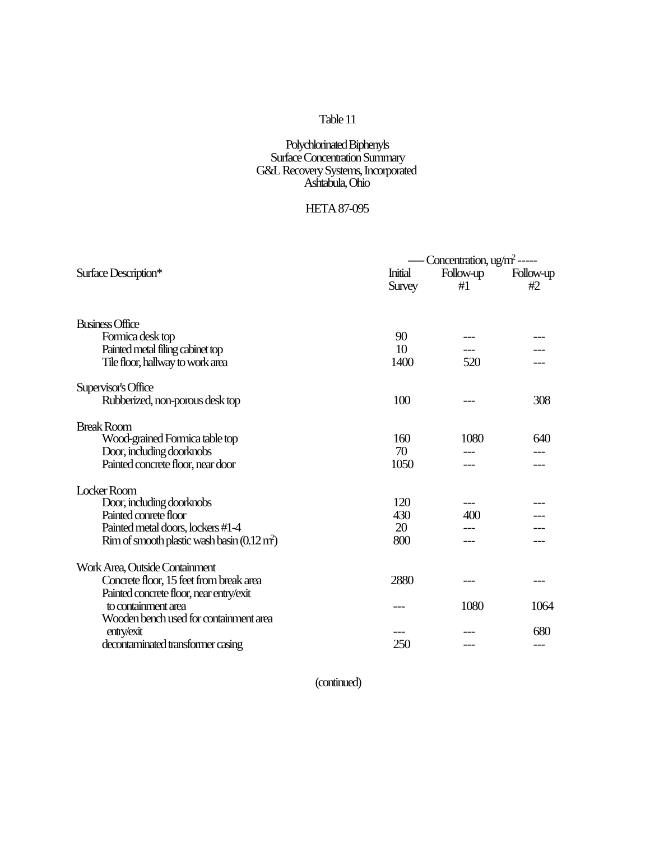### Polychlorinated Biphenyls Surface Concentration Summary G&L Recovery Systems, Incorporated Ashtabula, Ohio

# HETA 87-095

|                                                       |                   | - Concentration, $ug/m^2$ ----- |                 |
|-------------------------------------------------------|-------------------|---------------------------------|-----------------|
| Surface Description*                                  | Initial<br>Survey | Follow-up<br>#1                 | Follow-up<br>#2 |
|                                                       |                   |                                 |                 |
| <b>Business Office</b>                                |                   |                                 |                 |
| Formica desk top                                      | 90                |                                 |                 |
| Painted metal filing cabinet top                      | 10                |                                 |                 |
| Tile floor, hallway to work area                      | 1400              | 520                             |                 |
| Supervisor's Office                                   |                   |                                 |                 |
| Rubberized, non-porous desk top                       | 100               |                                 | 308             |
| <b>Break Room</b>                                     |                   |                                 |                 |
| Wood-grained Formica table top                        | 160               | 1080                            | 640             |
| Door, including doorknobs                             | 70                |                                 |                 |
| Painted concrete floor, near door                     | 1050              |                                 |                 |
| Locker Room                                           |                   |                                 |                 |
| Door, including doorknobs                             | 120               |                                 |                 |
| Painted conrete floor                                 | 430               | 400                             |                 |
| Painted metal doors, lockers #1-4                     | 20                |                                 |                 |
| Rim of smooth plastic wash basin $(0.12 \text{ m}^2)$ | 800               |                                 |                 |
| Work Area, Outside Containment                        |                   |                                 |                 |
| Concrete floor, 15 feet from break area               | 2880              |                                 |                 |
| Painted concrete floor, near entry/exit               |                   |                                 |                 |
| to containment area                                   |                   | 1080                            | 1064            |
| Wooden bench used for containment area                |                   |                                 |                 |
| entry/exit                                            |                   |                                 | 680             |
| decontaminated transformer casing                     | 250               |                                 | ---             |

(continued)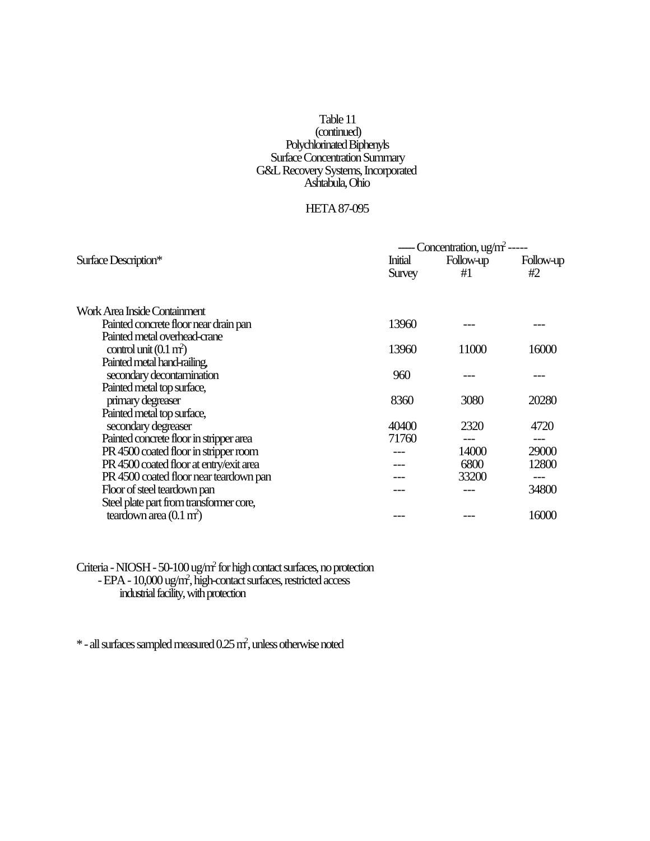### Table 11 (continued) Polychlorinated Biphenyls Surface Concentration Summary G&L Recovery Systems, Incorporated Ashtabula, Ohio

### HETA 87-095

|                                         | Concentration, $\mu$ g/m <sup>2</sup> ----- |                 |                 |
|-----------------------------------------|---------------------------------------------|-----------------|-----------------|
| Surface Description*                    | <b>Initial</b><br>Survey                    | Follow-up<br>#1 | Follow-up<br>#2 |
| Work Area Inside Containment            |                                             |                 |                 |
| Painted concrete floor near drain pan   | 13960                                       |                 |                 |
| Painted metal overhead-crane            |                                             |                 |                 |
| control unit $(0.1 \text{ m}^2)$        | 13960                                       | 11000           | 16000           |
| Painted metal hand-railing,             |                                             |                 |                 |
| secondary decontamination               | 960                                         |                 |                 |
| Painted metal top surface,              |                                             |                 |                 |
| primary degreaser                       | 8360                                        | 3080            | 20280           |
| Painted metal top surface,              |                                             |                 |                 |
| secondary degreaser                     | 40400                                       | 2320            | 4720            |
| Painted concrete floor in stripper area | 71760                                       |                 |                 |
| PR 4500 coated floor in stripper room   |                                             | 14000           | 29000           |
| PR 4500 coated floor at entry/exit area |                                             | 6800            | 12800           |
| PR 4500 coated floor near teardown pan  |                                             | 33200           | ---             |
| Floor of steel teardown pan             |                                             |                 | 34800           |
| Steel plate part from transformer core, |                                             |                 |                 |
| teardown area $(0.1 \text{ m}^2)$       |                                             |                 | 16000           |
|                                         |                                             |                 |                 |

Criteria - NIOSH - 50-100 ug/m<sup>2</sup> for high contact surfaces, no protection - EPA - 10,000 ug/m<sup>2</sup> , high-contact surfaces, restricted access industrial facility, with protection

\* - all surfaces sampled measured 0.25 m<sup>2</sup> , unless otherwise noted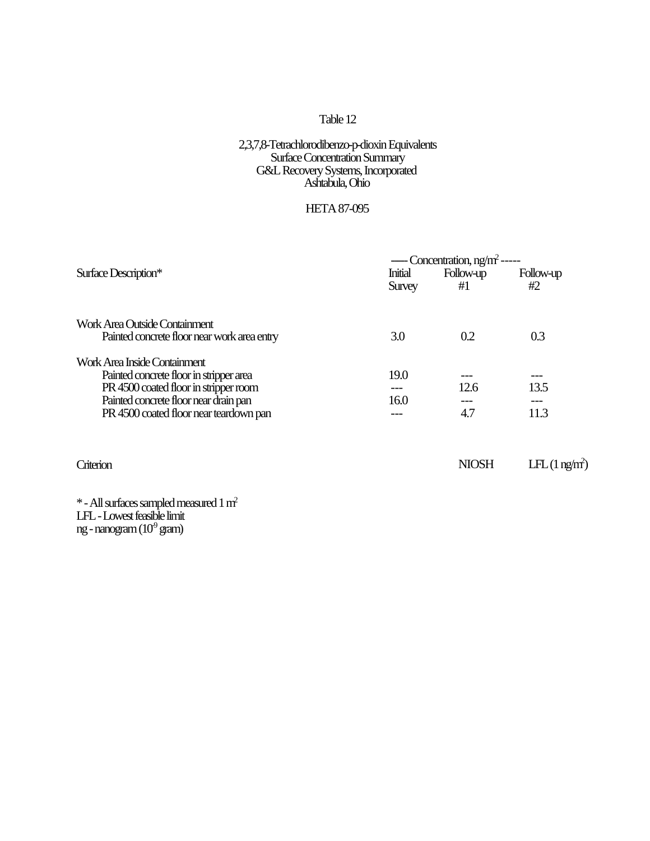#### 2,3,7,8-Tetrachlorodibenzo-p-dioxin Equivalents Surface Concentration Summary G&L Recovery Systems, Incorporated Ashtabula, Ohio

### HETA 87-095

|                                             | $--$ Concentration, ng/m <sup>2</sup> ----- |           |           |
|---------------------------------------------|---------------------------------------------|-----------|-----------|
| Surface Description*                        | <b>Initial</b>                              | Follow-up | Follow-up |
|                                             | Survey                                      | #1        | #2        |
| Work Area Outside Containment               |                                             |           |           |
| Painted concrete floor near work area entry | 3.0                                         | 0.2       | 0.3       |
| Work Area Inside Containment                |                                             |           |           |
| Painted concrete floor in stripper area     | 19.0                                        |           |           |
| PR 4500 coated floor in stripper room       |                                             | 12.6      | 13.5      |
| Painted concrete floor near drain pan       | 16.0                                        |           |           |
| PR 4500 coated floor near teardown pan      |                                             | 4.7       | 11.3      |

Criterion LFL (1 ng/m<sup>2</sup>)

\* - All surfaces sampled measured 1 m<sup>2</sup> LFL - Lowest feasible limit ng - nanogram  $(10^9 \text{ gram})$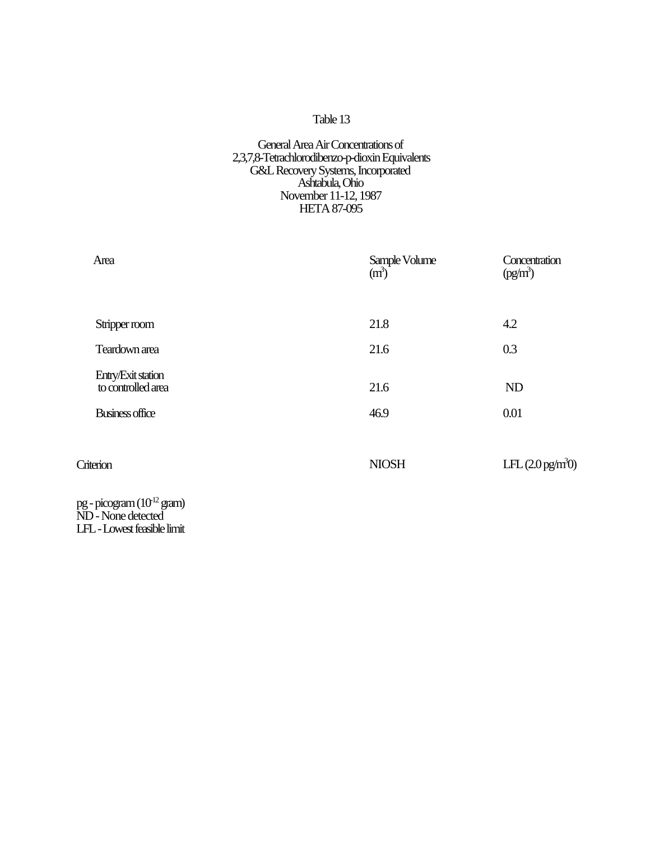### General Area Air Concentrations of 2,3,7,8-Tetrachlorodibenzo-p-dioxin Equivalents G&L Recovery Systems, Incorporated Ashtabula, Ohio November 11-12, 1987 HETA 87-095

| Area                                                        | Sample Volume<br>(m <sup>3</sup> ) | Concentration<br>(pg/m <sup>3</sup> ) |
|-------------------------------------------------------------|------------------------------------|---------------------------------------|
|                                                             |                                    |                                       |
| Stripper room                                               | 21.8                               | 4.2                                   |
| Teardown area                                               | 21.6                               | 0.3                                   |
| Entry/Exit station<br>to controlled area                    | 21.6                               | ND                                    |
| Business office                                             | 46.9                               | 0.01                                  |
|                                                             |                                    |                                       |
| Criterion                                                   | <b>NIOSH</b>                       | LFL $(2.0 \text{ pg/m}^3)$            |
| pg - picogram (10 <sup>12</sup> gram)<br>ND - None detected |                                    |                                       |

LFL - Lowest feasible limit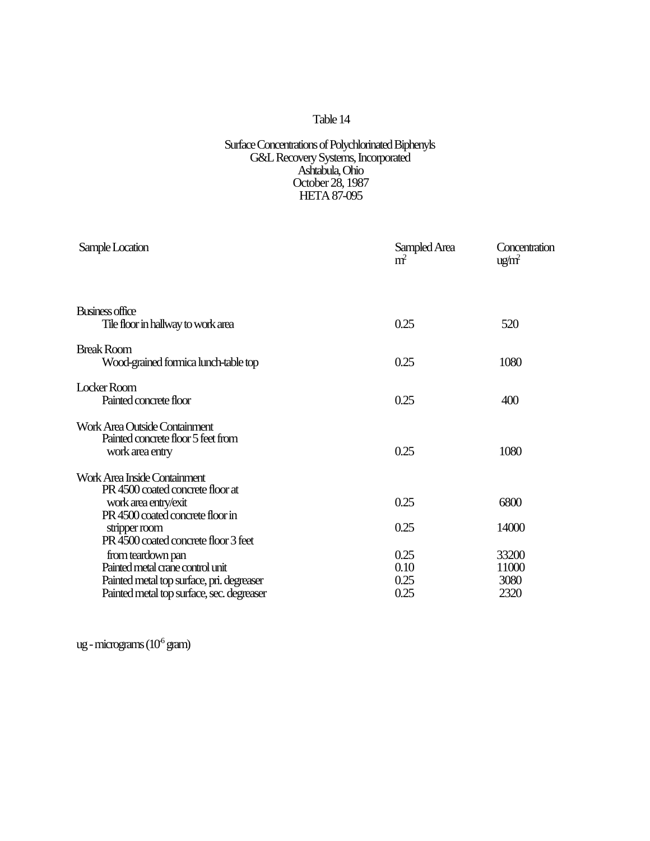#### Surface Concentrations of Polychlorinated Biphenyls G&L Recovery Systems, Incorporated Ashtabula, Ohio October 28, 1987 HETA 87-095

| Sample Location                                                                                                                                 | Sampled Area<br>m <sup>2</sup> | Concentration<br>ug/m <sup>2</sup> |
|-------------------------------------------------------------------------------------------------------------------------------------------------|--------------------------------|------------------------------------|
| Business office<br>Tile floor in hallway to work area                                                                                           | 0.25                           | 520                                |
| <b>Break Room</b><br>Wood-grained formica lunch-table top                                                                                       | 0.25                           | 1080                               |
| Locker Room<br>Painted concrete floor                                                                                                           | 0.25                           | 400                                |
| Work Area Outside Containment<br>Painted concrete floor 5 feet from<br>work area entry                                                          | 0.25                           | 1080                               |
| Work Area Inside Containment<br>PR 4500 coated concrete floor at<br>work area entry/exit<br>PR 4500 coated concrete floor in                    | 0.25                           | 6800                               |
| stripper room<br>PR 4500 coated concrete floor 3 feet                                                                                           | 0.25                           | 14000                              |
| from teardown pan<br>Painted metal crane control unit<br>Painted metal top surface, pri. degreaser<br>Painted metal top surface, sec. degreaser | 0.25<br>0.10<br>0.25<br>0.25   | 33200<br>11000<br>3080<br>2320     |
|                                                                                                                                                 |                                |                                    |

ug - micrograms (10<sup>6</sup> gram)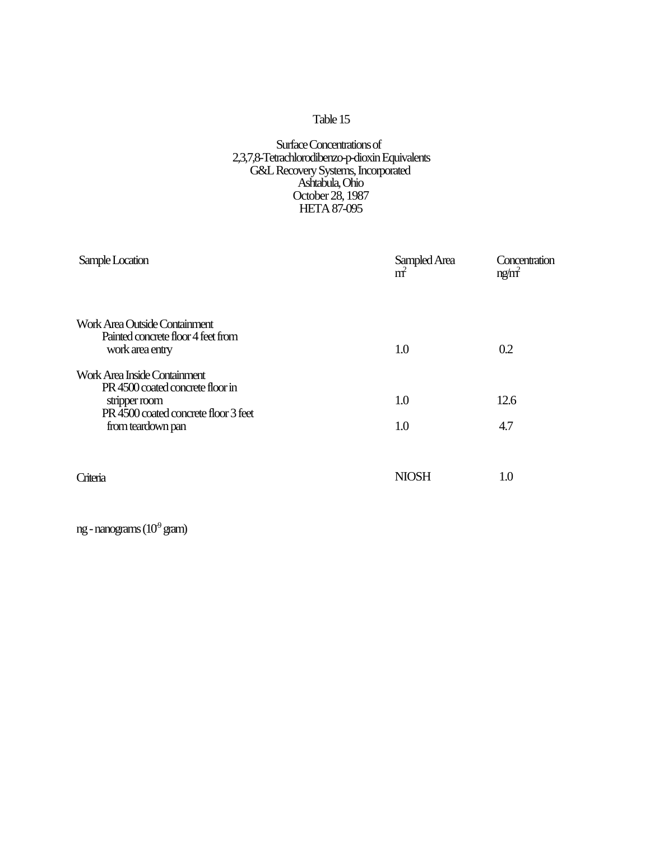### Surface Concentrations of 2,3,7,8-Tetrachlorodibenzo-p-dioxin Equivalents G&L Recovery Systems, Incorporated Ashtabula, Ohio October 28, 1987 HETA 87-095

| Sample Location                                                                                                           | Sampled Area<br>m <sup>2</sup> | Concentration<br>ng/m <sup>2</sup> |
|---------------------------------------------------------------------------------------------------------------------------|--------------------------------|------------------------------------|
| Work Area Outside Containment<br>Painted concrete floor 4 feet from<br>work area entry                                    | 1.0                            | 0.2                                |
| Work Area Inside Containment<br>PR 4500 coated concrete floor in<br>stripper room<br>PR 4500 coated concrete floor 3 feet | 1.0                            | 12.6                               |
| from teardown pan<br>Criteria                                                                                             | 1.0<br><b>NIOSH</b>            | 4.7<br>1.0                         |

ng - nanograms  $(10^9 \text{ gram})$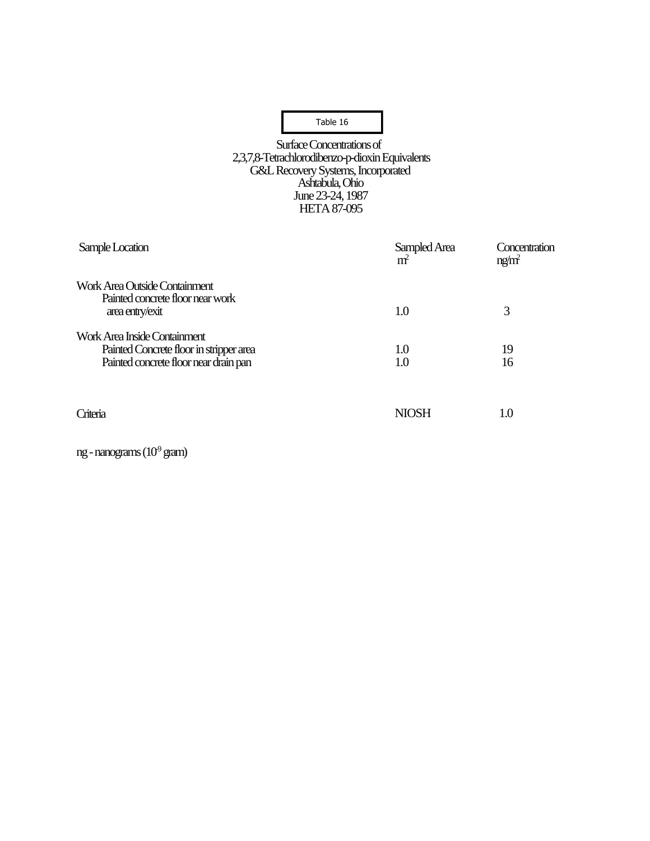Surface Concentrations of 2,3,7,8-Tetrachlorodibenzo-p-dioxin Equivalents G&L Recovery Systems, Incorporated Ashtabula, Ohio June 23-24, 1987 HETA 87-095

| Sample Location                                                                                                  | Sampled Area<br>m <sup>2</sup> | Concentration<br>ng/m <sup>2</sup> |
|------------------------------------------------------------------------------------------------------------------|--------------------------------|------------------------------------|
| Work Area Outside Containment<br>Painted concrete floor near work<br>area entry/exit                             | 1.0                            | 3                                  |
| Work Area Inside Containment<br>Painted Concrete floor in stripper area<br>Painted concrete floor near drain pan | 1.0<br>1.0                     | 19<br>16                           |
| Criteria                                                                                                         | <b>NIOSH</b>                   | 1.0                                |

ng - nanograms  $(10^9 \text{ gram})$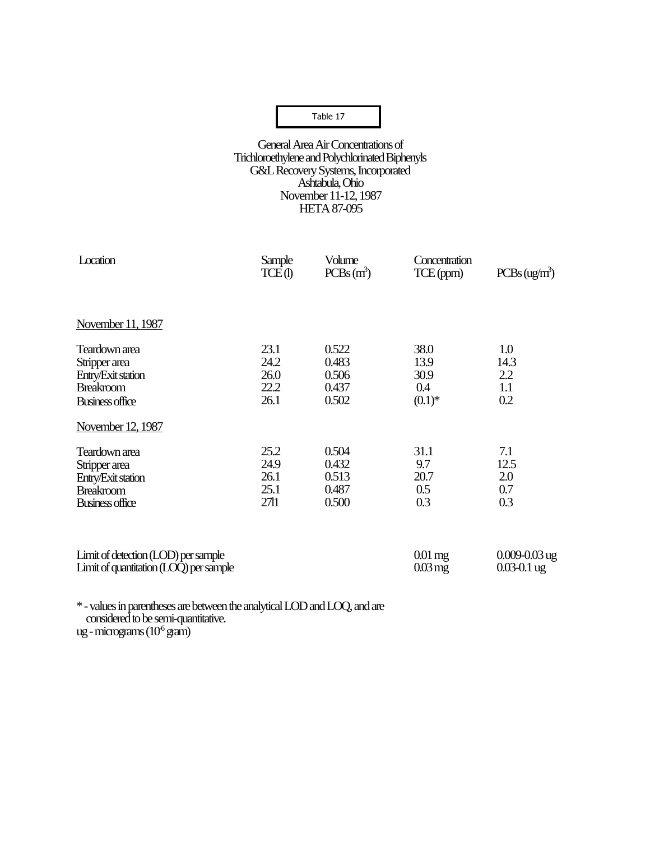### Table 10 Table 17

#### General Area Air Concentrations of Trichloroethylene and Polychlorinated Biphenyls G&L Recovery Systems, Incorporated Ashtabula, Ohio November 11-12, 1987 HETA 87-095

| Location                                                                      | Sample<br>TCE(1) | Volume<br>$PCBs(m^3)$ | Concentration<br>TCE (ppm)        | PCBs (ug/m <sup>3</sup> )            |
|-------------------------------------------------------------------------------|------------------|-----------------------|-----------------------------------|--------------------------------------|
| November 11, 1987                                                             |                  |                       |                                   |                                      |
| Teardown area                                                                 | 23.1             | 0.522                 | 38.0                              | 1.0                                  |
| Stripper area                                                                 | 24.2             | 0.483                 | 13.9                              | 14.3                                 |
| Entry/Exit station                                                            | 26.0             | 0.506                 | 30.9                              | 2.2                                  |
| <b>Breakroom</b>                                                              | 22.2             | 0.437                 | 0.4                               | 1.1                                  |
| <b>Business office</b>                                                        | 26.1             | 0.502                 | $(0.1)$ *                         | 0.2                                  |
| November 12, 1987                                                             |                  |                       |                                   |                                      |
| Teardown area                                                                 | 25.2             | 0.504                 | 31.1                              | 7.1                                  |
| Stripper area                                                                 | 24.9             | 0.432                 | 9.7                               | 12.5                                 |
| Entry/Exit station                                                            | 26.1             | 0.513                 | 20.7                              | 2.0                                  |
| <b>Breakroom</b>                                                              | 25.1             | 0.487                 | 0.5                               | 0.7                                  |
| Business office                                                               | 2711             | 0.500                 | 0.3                               | 0.3                                  |
|                                                                               |                  |                       |                                   |                                      |
| Limit of detection (LOD) per sample<br>Limit of quantitation (LOQ) per sample |                  |                       | $0.01$ mg<br>$0.03 \,\mathrm{mg}$ | $0.009 - 0.03$ ug<br>$0.03 - 0.1$ ug |

\* - values in parentheses are between the analytical LOD and LOQ, and are considered to be semi-quantitative. ug - micrograms  $(10^6 \,\rm g\text{am})$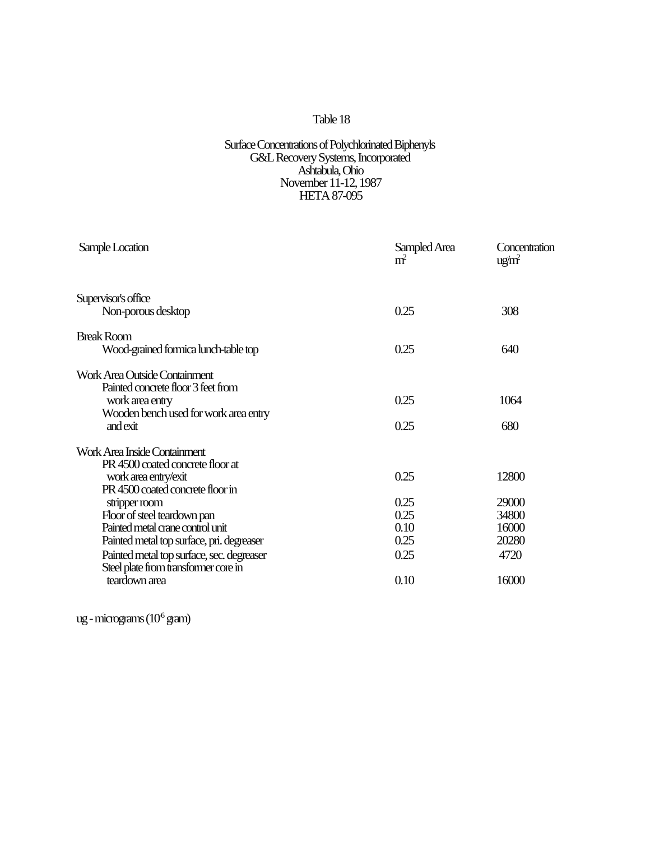#### Surface Concentrations of Polychlorinated Biphenyls G&L Recovery Systems, Incorporated Ashtabula, Ohio November 11-12, 1987 HETA 87-095

| Sample Location                           | Sampled Area<br>m <sup>2</sup> | Concentration<br>ug/m <sup>2</sup> |
|-------------------------------------------|--------------------------------|------------------------------------|
| Supervisor's office                       |                                |                                    |
| Non-porous desktop                        | 0.25                           | 308                                |
| <b>Break Room</b>                         |                                |                                    |
| Wood-grained formica lunch-table top      | 0.25                           | 640                                |
| Work Area Outside Containment             |                                |                                    |
| Painted concrete floor 3 feet from        |                                |                                    |
| work area entry                           | 0.25                           | 1064                               |
| Wooden bench used for work area entry     |                                |                                    |
| andexit                                   | 0.25                           | 680                                |
| Work Area Inside Containment              |                                |                                    |
| PR 4500 coated concrete floor at          |                                |                                    |
| work area entry/exit                      | 0.25                           | 12800                              |
| PR 4500 coated concrete floor in          |                                |                                    |
| stripper room                             | 0.25                           | 29000                              |
| Floor of steel teardown pan               | 0.25                           | 34800                              |
| Painted metal crane control unit          | 0.10                           | 16000                              |
| Painted metal top surface, pri. degreaser | 0.25                           | 20280                              |
| Painted metal top surface, sec. degreaser | 0.25                           | 4720                               |
| Steel plate from transformer core in      |                                |                                    |
| teardown area                             | 0.10                           | 16000                              |

ug - micrograms  $(10^6 \text{ gram})$